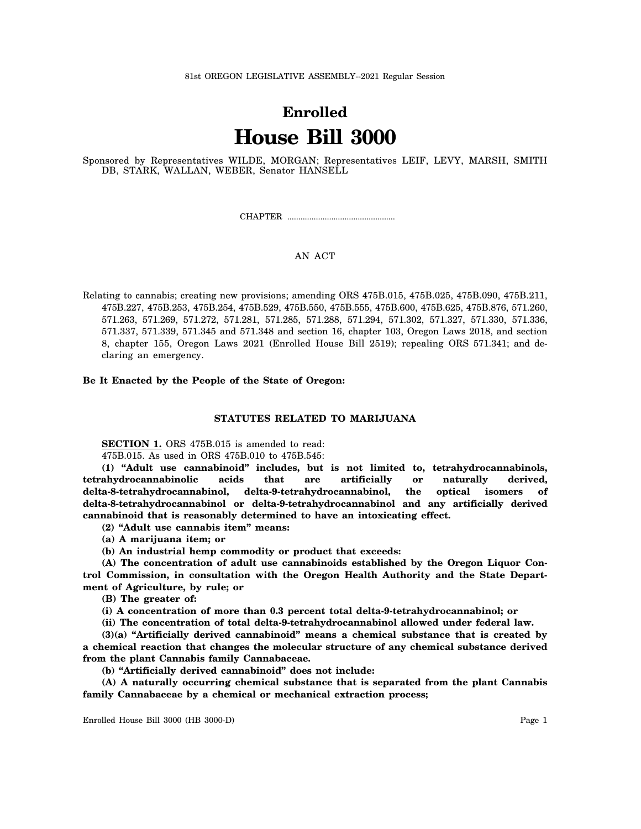# **Enrolled House Bill 3000**

Sponsored by Representatives WILDE, MORGAN; Representatives LEIF, LEVY, MARSH, SMITH DB, STARK, WALLAN, WEBER, Senator HANSELL

CHAPTER .................................................

# AN ACT

Relating to cannabis; creating new provisions; amending ORS 475B.015, 475B.025, 475B.090, 475B.211, 475B.227, 475B.253, 475B.254, 475B.529, 475B.550, 475B.555, 475B.600, 475B.625, 475B.876, 571.260, 571.263, 571.269, 571.272, 571.281, 571.285, 571.288, 571.294, 571.302, 571.327, 571.330, 571.336, 571.337, 571.339, 571.345 and 571.348 and section 16, chapter 103, Oregon Laws 2018, and section 8, chapter 155, Oregon Laws 2021 (Enrolled House Bill 2519); repealing ORS 571.341; and declaring an emergency.

**Be It Enacted by the People of the State of Oregon:**

## **STATUTES RELATED TO MARIJUANA**

**SECTION 1.** ORS 475B.015 is amended to read:

475B.015. As used in ORS 475B.010 to 475B.545:

**(1) "Adult use cannabinoid" includes, but is not limited to, tetrahydrocannabinols, tetrahydrocannabinolic acids that are artificially or naturally derived, delta-8-tetrahydrocannabinol, delta-9-tetrahydrocannabinol, the optical isomers of delta-8-tetrahydrocannabinol or delta-9-tetrahydrocannabinol and any artificially derived cannabinoid that is reasonably determined to have an intoxicating effect.**

**(2) "Adult use cannabis item" means:**

**(a) A marijuana item; or**

**(b) An industrial hemp commodity or product that exceeds:**

**(A) The concentration of adult use cannabinoids established by the Oregon Liquor Control Commission, in consultation with the Oregon Health Authority and the State Department of Agriculture, by rule; or**

**(B) The greater of:**

**(i) A concentration of more than 0.3 percent total delta-9-tetrahydrocannabinol; or**

**(ii) The concentration of total delta-9-tetrahydrocannabinol allowed under federal law.**

**(3)(a) "Artificially derived cannabinoid" means a chemical substance that is created by a chemical reaction that changes the molecular structure of any chemical substance derived from the plant Cannabis family Cannabaceae.**

**(b) "Artificially derived cannabinoid" does not include:**

**(A) A naturally occurring chemical substance that is separated from the plant Cannabis family Cannabaceae by a chemical or mechanical extraction process;**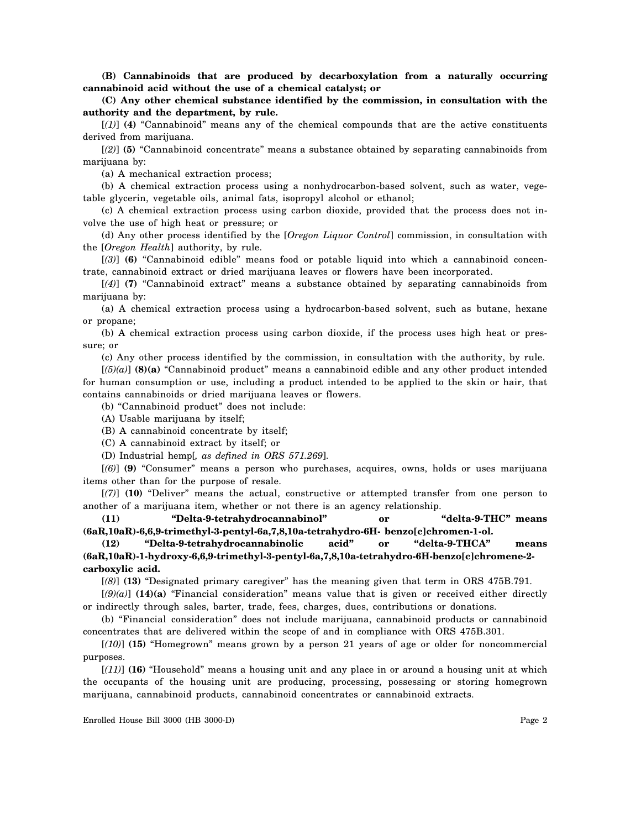**(B) Cannabinoids that are produced by decarboxylation from a naturally occurring cannabinoid acid without the use of a chemical catalyst; or**

**(C) Any other chemical substance identified by the commission, in consultation with the authority and the department, by rule.**

[*(1)*] **(4)** "Cannabinoid" means any of the chemical compounds that are the active constituents derived from marijuana.

[*(2)*] **(5)** "Cannabinoid concentrate" means a substance obtained by separating cannabinoids from marijuana by:

(a) A mechanical extraction process;

(b) A chemical extraction process using a nonhydrocarbon-based solvent, such as water, vegetable glycerin, vegetable oils, animal fats, isopropyl alcohol or ethanol;

(c) A chemical extraction process using carbon dioxide, provided that the process does not involve the use of high heat or pressure; or

(d) Any other process identified by the [*Oregon Liquor Control*] commission, in consultation with the [*Oregon Health*] authority, by rule.

[*(3)*] **(6)** "Cannabinoid edible" means food or potable liquid into which a cannabinoid concentrate, cannabinoid extract or dried marijuana leaves or flowers have been incorporated.

[*(4)*] **(7)** "Cannabinoid extract" means a substance obtained by separating cannabinoids from marijuana by:

(a) A chemical extraction process using a hydrocarbon-based solvent, such as butane, hexane or propane;

(b) A chemical extraction process using carbon dioxide, if the process uses high heat or pressure; or

(c) Any other process identified by the commission, in consultation with the authority, by rule.

[*(5)(a)*] **(8)(a)** "Cannabinoid product" means a cannabinoid edible and any other product intended for human consumption or use, including a product intended to be applied to the skin or hair, that contains cannabinoids or dried marijuana leaves or flowers.

(b) "Cannabinoid product" does not include:

(A) Usable marijuana by itself;

(B) A cannabinoid concentrate by itself;

(C) A cannabinoid extract by itself; or

(D) Industrial hemp[*, as defined in ORS 571.269*].

[*(6)*] **(9)** "Consumer" means a person who purchases, acquires, owns, holds or uses marijuana items other than for the purpose of resale.

[*(7)*] **(10)** "Deliver" means the actual, constructive or attempted transfer from one person to another of a marijuana item, whether or not there is an agency relationship.

**(11) "Delta-9-tetrahydrocannabinol" or "delta-9-THC" means (6aR,10aR)-6,6,9-trimethyl-3-pentyl-6a,7,8,10a-tetrahydro-6H- benzo[c]chromen-1-ol.**

**(12) "Delta-9-tetrahydrocannabinolic acid" or "delta-9-THCA" means (6aR,10aR)-1-hydroxy-6,6,9-trimethyl-3-pentyl-6a,7,8,10a-tetrahydro-6H-benzo[c]chromene-2 carboxylic acid.**

[*(8)*] **(13)** "Designated primary caregiver" has the meaning given that term in ORS 475B.791.

[*(9)(a)*] **(14)(a)** "Financial consideration" means value that is given or received either directly or indirectly through sales, barter, trade, fees, charges, dues, contributions or donations.

(b) "Financial consideration" does not include marijuana, cannabinoid products or cannabinoid concentrates that are delivered within the scope of and in compliance with ORS 475B.301.

[*(10)*] **(15)** "Homegrown" means grown by a person 21 years of age or older for noncommercial purposes.

[*(11)*] **(16)** "Household" means a housing unit and any place in or around a housing unit at which the occupants of the housing unit are producing, processing, possessing or storing homegrown marijuana, cannabinoid products, cannabinoid concentrates or cannabinoid extracts.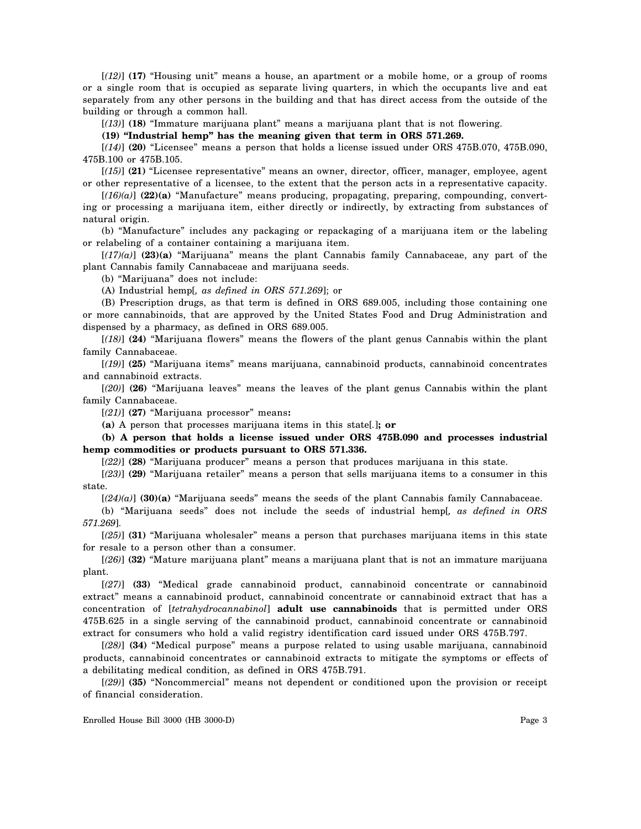[*(12)*] **(17)** "Housing unit" means a house, an apartment or a mobile home, or a group of rooms or a single room that is occupied as separate living quarters, in which the occupants live and eat separately from any other persons in the building and that has direct access from the outside of the building or through a common hall.

[*(13)*] **(18)** "Immature marijuana plant" means a marijuana plant that is not flowering.

**(19) "Industrial hemp" has the meaning given that term in ORS 571.269.**

[*(14)*] **(20)** "Licensee" means a person that holds a license issued under ORS 475B.070, 475B.090, 475B.100 or 475B.105.

[*(15)*] **(21)** "Licensee representative" means an owner, director, officer, manager, employee, agent or other representative of a licensee, to the extent that the person acts in a representative capacity.

[*(16)(a)*] **(22)(a)** "Manufacture" means producing, propagating, preparing, compounding, converting or processing a marijuana item, either directly or indirectly, by extracting from substances of natural origin.

(b) "Manufacture" includes any packaging or repackaging of a marijuana item or the labeling or relabeling of a container containing a marijuana item.

[*(17)(a)*] **(23)(a)** "Marijuana" means the plant Cannabis family Cannabaceae, any part of the plant Cannabis family Cannabaceae and marijuana seeds.

(b) "Marijuana" does not include:

(A) Industrial hemp[*, as defined in ORS 571.269*]; or

(B) Prescription drugs, as that term is defined in ORS 689.005, including those containing one or more cannabinoids, that are approved by the United States Food and Drug Administration and dispensed by a pharmacy, as defined in ORS 689.005.

[*(18)*] **(24)** "Marijuana flowers" means the flowers of the plant genus Cannabis within the plant family Cannabaceae.

[*(19)*] **(25)** "Marijuana items" means marijuana, cannabinoid products, cannabinoid concentrates and cannabinoid extracts.

[*(20)*] **(26)** "Marijuana leaves" means the leaves of the plant genus Cannabis within the plant family Cannabaceae.

[*(21)*] **(27)** "Marijuana processor" means**:**

**(a)** A person that processes marijuana items in this state[*.*]**; or**

**(b) A person that holds a license issued under ORS 475B.090 and processes industrial hemp commodities or products pursuant to ORS 571.336.**

[*(22)*] **(28)** "Marijuana producer" means a person that produces marijuana in this state.

[*(23)*] **(29)** "Marijuana retailer" means a person that sells marijuana items to a consumer in this state.

[*(24)(a)*] **(30)(a)** "Marijuana seeds" means the seeds of the plant Cannabis family Cannabaceae.

(b) "Marijuana seeds" does not include the seeds of industrial hemp[*, as defined in ORS 571.269*].

[*(25)*] **(31)** "Marijuana wholesaler" means a person that purchases marijuana items in this state for resale to a person other than a consumer.

[*(26)*] **(32)** "Mature marijuana plant" means a marijuana plant that is not an immature marijuana plant.

[*(27)*] **(33)** "Medical grade cannabinoid product, cannabinoid concentrate or cannabinoid extract" means a cannabinoid product, cannabinoid concentrate or cannabinoid extract that has a concentration of [*tetrahydrocannabinol*] **adult use cannabinoids** that is permitted under ORS 475B.625 in a single serving of the cannabinoid product, cannabinoid concentrate or cannabinoid extract for consumers who hold a valid registry identification card issued under ORS 475B.797.

[*(28)*] **(34)** "Medical purpose" means a purpose related to using usable marijuana, cannabinoid products, cannabinoid concentrates or cannabinoid extracts to mitigate the symptoms or effects of a debilitating medical condition, as defined in ORS 475B.791.

[*(29)*] **(35)** "Noncommercial" means not dependent or conditioned upon the provision or receipt of financial consideration.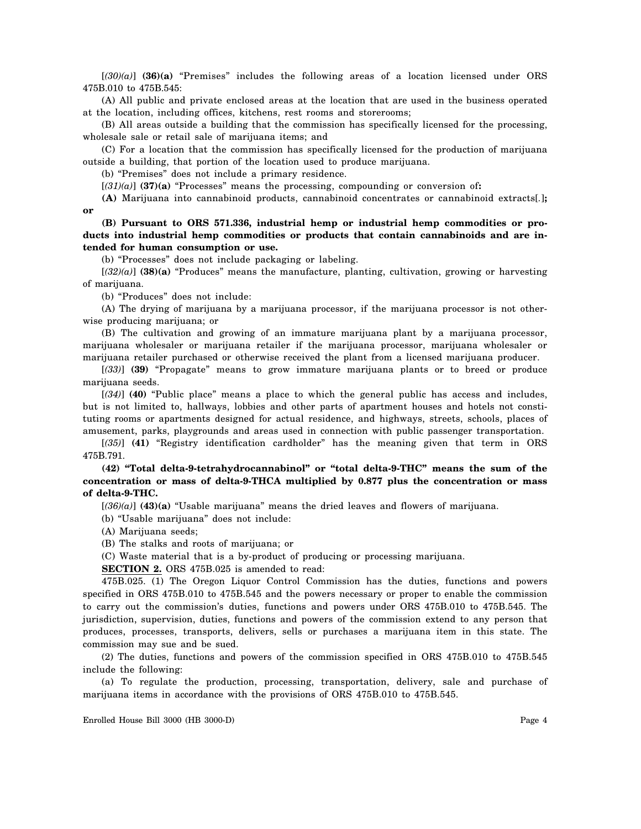$[(30)(a)]$  **(36)(a)** "Premises" includes the following areas of a location licensed under ORS 475B.010 to 475B.545:

(A) All public and private enclosed areas at the location that are used in the business operated at the location, including offices, kitchens, rest rooms and storerooms;

(B) All areas outside a building that the commission has specifically licensed for the processing, wholesale sale or retail sale of marijuana items; and

(C) For a location that the commission has specifically licensed for the production of marijuana outside a building, that portion of the location used to produce marijuana.

(b) "Premises" does not include a primary residence.

[*(31)(a)*] **(37)(a)** "Processes" means the processing, compounding or conversion of**:**

**(A)** Marijuana into cannabinoid products, cannabinoid concentrates or cannabinoid extracts[*.*]**; or**

**(B) Pursuant to ORS 571.336, industrial hemp or industrial hemp commodities or products into industrial hemp commodities or products that contain cannabinoids and are intended for human consumption or use.**

(b) "Processes" does not include packaging or labeling.

[*(32)(a)*] **(38)(a)** "Produces" means the manufacture, planting, cultivation, growing or harvesting of marijuana.

(b) "Produces" does not include:

(A) The drying of marijuana by a marijuana processor, if the marijuana processor is not otherwise producing marijuana; or

(B) The cultivation and growing of an immature marijuana plant by a marijuana processor, marijuana wholesaler or marijuana retailer if the marijuana processor, marijuana wholesaler or marijuana retailer purchased or otherwise received the plant from a licensed marijuana producer.

[*(33)*] **(39)** "Propagate" means to grow immature marijuana plants or to breed or produce marijuana seeds.

[*(34)*] **(40)** "Public place" means a place to which the general public has access and includes, but is not limited to, hallways, lobbies and other parts of apartment houses and hotels not constituting rooms or apartments designed for actual residence, and highways, streets, schools, places of amusement, parks, playgrounds and areas used in connection with public passenger transportation.

[*(35)*] **(41)** "Registry identification cardholder" has the meaning given that term in ORS 475B.791.

**(42) "Total delta-9-tetrahydrocannabinol" or "total delta-9-THC" means the sum of the concentration or mass of delta-9-THCA multiplied by 0.877 plus the concentration or mass of delta-9-THC.**

[*(36)(a)*] **(43)(a)** "Usable marijuana" means the dried leaves and flowers of marijuana.

(b) "Usable marijuana" does not include:

(A) Marijuana seeds;

(B) The stalks and roots of marijuana; or

(C) Waste material that is a by-product of producing or processing marijuana.

**SECTION 2.** ORS 475B.025 is amended to read:

475B.025. (1) The Oregon Liquor Control Commission has the duties, functions and powers specified in ORS 475B.010 to 475B.545 and the powers necessary or proper to enable the commission to carry out the commission's duties, functions and powers under ORS 475B.010 to 475B.545. The jurisdiction, supervision, duties, functions and powers of the commission extend to any person that produces, processes, transports, delivers, sells or purchases a marijuana item in this state. The commission may sue and be sued.

(2) The duties, functions and powers of the commission specified in ORS 475B.010 to 475B.545 include the following:

(a) To regulate the production, processing, transportation, delivery, sale and purchase of marijuana items in accordance with the provisions of ORS 475B.010 to 475B.545.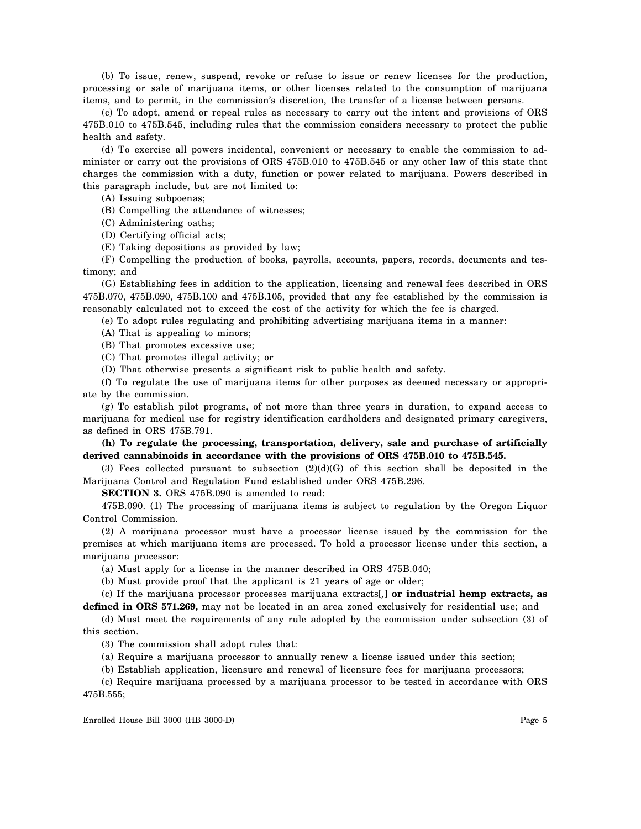(b) To issue, renew, suspend, revoke or refuse to issue or renew licenses for the production, processing or sale of marijuana items, or other licenses related to the consumption of marijuana items, and to permit, in the commission's discretion, the transfer of a license between persons.

(c) To adopt, amend or repeal rules as necessary to carry out the intent and provisions of ORS 475B.010 to 475B.545, including rules that the commission considers necessary to protect the public health and safety.

(d) To exercise all powers incidental, convenient or necessary to enable the commission to administer or carry out the provisions of ORS 475B.010 to 475B.545 or any other law of this state that charges the commission with a duty, function or power related to marijuana. Powers described in this paragraph include, but are not limited to:

(A) Issuing subpoenas;

(B) Compelling the attendance of witnesses;

(C) Administering oaths;

(D) Certifying official acts;

(E) Taking depositions as provided by law;

(F) Compelling the production of books, payrolls, accounts, papers, records, documents and testimony; and

(G) Establishing fees in addition to the application, licensing and renewal fees described in ORS 475B.070, 475B.090, 475B.100 and 475B.105, provided that any fee established by the commission is reasonably calculated not to exceed the cost of the activity for which the fee is charged.

(e) To adopt rules regulating and prohibiting advertising marijuana items in a manner:

(A) That is appealing to minors;

(B) That promotes excessive use;

(C) That promotes illegal activity; or

(D) That otherwise presents a significant risk to public health and safety.

(f) To regulate the use of marijuana items for other purposes as deemed necessary or appropriate by the commission.

(g) To establish pilot programs, of not more than three years in duration, to expand access to marijuana for medical use for registry identification cardholders and designated primary caregivers, as defined in ORS 475B.791.

**(h) To regulate the processing, transportation, delivery, sale and purchase of artificially derived cannabinoids in accordance with the provisions of ORS 475B.010 to 475B.545.**

(3) Fees collected pursuant to subsection  $(2)(d)(G)$  of this section shall be deposited in the Marijuana Control and Regulation Fund established under ORS 475B.296.

**SECTION 3.** ORS 475B.090 is amended to read:

475B.090. (1) The processing of marijuana items is subject to regulation by the Oregon Liquor Control Commission.

(2) A marijuana processor must have a processor license issued by the commission for the premises at which marijuana items are processed. To hold a processor license under this section, a marijuana processor:

(a) Must apply for a license in the manner described in ORS 475B.040;

(b) Must provide proof that the applicant is 21 years of age or older;

(c) If the marijuana processor processes marijuana extracts[*,*] **or industrial hemp extracts, as defined in ORS 571.269,** may not be located in an area zoned exclusively for residential use; and

(d) Must meet the requirements of any rule adopted by the commission under subsection (3) of this section.

(3) The commission shall adopt rules that:

(a) Require a marijuana processor to annually renew a license issued under this section;

(b) Establish application, licensure and renewal of licensure fees for marijuana processors;

(c) Require marijuana processed by a marijuana processor to be tested in accordance with ORS 475B.555;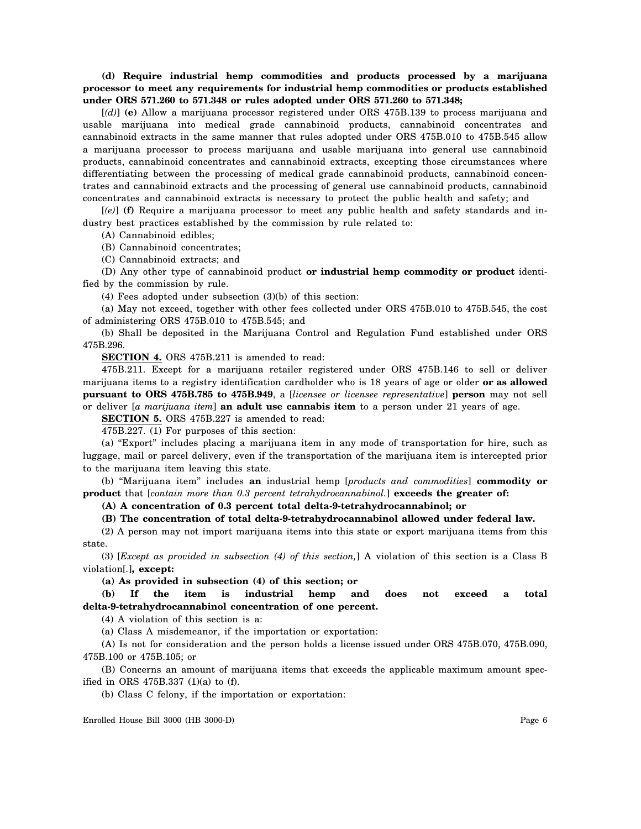# **(d) Require industrial hemp commodities and products processed by a marijuana processor to meet any requirements for industrial hemp commodities or products established under ORS 571.260 to 571.348 or rules adopted under ORS 571.260 to 571.348;**

[*(d)*] **(e)** Allow a marijuana processor registered under ORS 475B.139 to process marijuana and usable marijuana into medical grade cannabinoid products, cannabinoid concentrates and cannabinoid extracts in the same manner that rules adopted under ORS 475B.010 to 475B.545 allow a marijuana processor to process marijuana and usable marijuana into general use cannabinoid products, cannabinoid concentrates and cannabinoid extracts, excepting those circumstances where differentiating between the processing of medical grade cannabinoid products, cannabinoid concentrates and cannabinoid extracts and the processing of general use cannabinoid products, cannabinoid concentrates and cannabinoid extracts is necessary to protect the public health and safety; and

[*(e)*] **(f)** Require a marijuana processor to meet any public health and safety standards and industry best practices established by the commission by rule related to:

(A) Cannabinoid edibles;

(B) Cannabinoid concentrates;

(C) Cannabinoid extracts; and

(D) Any other type of cannabinoid product **or industrial hemp commodity or product** identified by the commission by rule.

(4) Fees adopted under subsection (3)(b) of this section:

(a) May not exceed, together with other fees collected under ORS 475B.010 to 475B.545, the cost of administering ORS 475B.010 to 475B.545; and

(b) Shall be deposited in the Marijuana Control and Regulation Fund established under ORS 475B.296.

**SECTION 4.** ORS 475B.211 is amended to read:

475B.211. Except for a marijuana retailer registered under ORS 475B.146 to sell or deliver marijuana items to a registry identification cardholder who is 18 years of age or older **or as allowed pursuant to ORS 475B.785 to 475B.949**, a [*licensee or licensee representative*] **person** may not sell or deliver [*a marijuana item*] **an adult use cannabis item** to a person under 21 years of age.

**SECTION 5.** ORS 475B.227 is amended to read:

475B.227. (1) For purposes of this section:

(a) "Export" includes placing a marijuana item in any mode of transportation for hire, such as luggage, mail or parcel delivery, even if the transportation of the marijuana item is intercepted prior to the marijuana item leaving this state.

(b) "Marijuana item" includes **an** industrial hemp [*products and commodities*] **commodity or product** that [*contain more than 0.3 percent tetrahydrocannabinol.*] **exceeds the greater of:**

**(A) A concentration of 0.3 percent total delta-9-tetrahydrocannabinol; or**

## **(B) The concentration of total delta-9-tetrahydrocannabinol allowed under federal law.**

(2) A person may not import marijuana items into this state or export marijuana items from this state.

(3) [*Except as provided in subsection (4) of this section,*] A violation of this section is a Class B violation[*.*]**, except:**

**(a) As provided in subsection (4) of this section; or**

**(b) If the item is industrial hemp and does not exceed a total delta-9-tetrahydrocannabinol concentration of one percent.**

(4) A violation of this section is a:

(a) Class A misdemeanor, if the importation or exportation:

(A) Is not for consideration and the person holds a license issued under ORS 475B.070, 475B.090, 475B.100 or 475B.105; or

(B) Concerns an amount of marijuana items that exceeds the applicable maximum amount specified in ORS 475B.337 (1)(a) to (f).

(b) Class C felony, if the importation or exportation: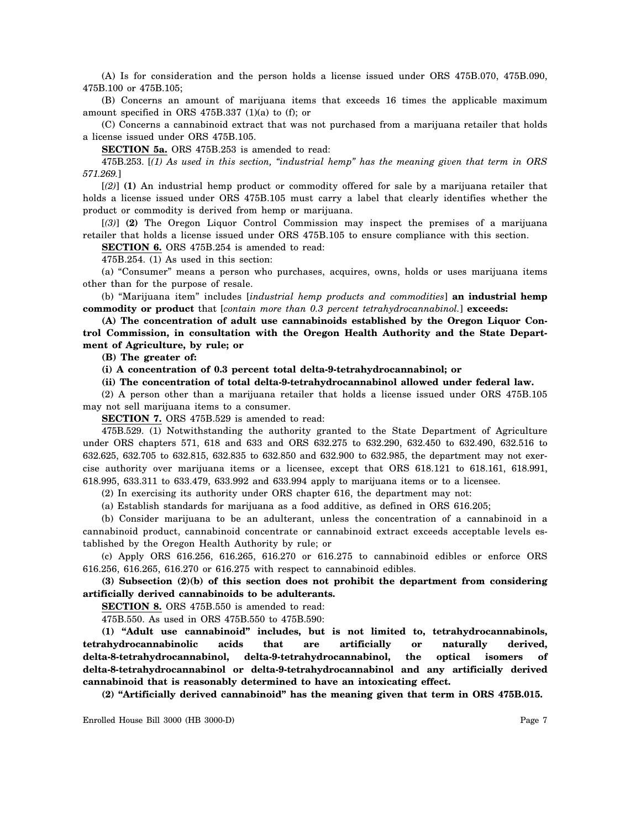(A) Is for consideration and the person holds a license issued under ORS 475B.070, 475B.090, 475B.100 or 475B.105;

(B) Concerns an amount of marijuana items that exceeds 16 times the applicable maximum amount specified in ORS 475B.337 (1)(a) to (f); or

(C) Concerns a cannabinoid extract that was not purchased from a marijuana retailer that holds a license issued under ORS 475B.105.

**SECTION 5a.** ORS 475B.253 is amended to read:

475B.253. [*(1) As used in this section, "industrial hemp" has the meaning given that term in ORS 571.269.*]

[*(2)*] **(1)** An industrial hemp product or commodity offered for sale by a marijuana retailer that holds a license issued under ORS 475B.105 must carry a label that clearly identifies whether the product or commodity is derived from hemp or marijuana.

[*(3)*] **(2)** The Oregon Liquor Control Commission may inspect the premises of a marijuana retailer that holds a license issued under ORS 475B.105 to ensure compliance with this section.

**SECTION 6.** ORS 475B.254 is amended to read:

475B.254. (1) As used in this section:

(a) "Consumer" means a person who purchases, acquires, owns, holds or uses marijuana items other than for the purpose of resale.

(b) "Marijuana item" includes [*industrial hemp products and commodities*] **an industrial hemp commodity or product** that [*contain more than 0.3 percent tetrahydrocannabinol.*] **exceeds:**

**(A) The concentration of adult use cannabinoids established by the Oregon Liquor Control Commission, in consultation with the Oregon Health Authority and the State Department of Agriculture, by rule; or**

**(B) The greater of:**

**(i) A concentration of 0.3 percent total delta-9-tetrahydrocannabinol; or**

**(ii) The concentration of total delta-9-tetrahydrocannabinol allowed under federal law.**

(2) A person other than a marijuana retailer that holds a license issued under ORS 475B.105 may not sell marijuana items to a consumer.

**SECTION 7.** ORS 475B.529 is amended to read:

475B.529. (1) Notwithstanding the authority granted to the State Department of Agriculture under ORS chapters 571, 618 and 633 and ORS 632.275 to 632.290, 632.450 to 632.490, 632.516 to 632.625, 632.705 to 632.815, 632.835 to 632.850 and 632.900 to 632.985, the department may not exercise authority over marijuana items or a licensee, except that ORS 618.121 to 618.161, 618.991, 618.995, 633.311 to 633.479, 633.992 and 633.994 apply to marijuana items or to a licensee.

(2) In exercising its authority under ORS chapter 616, the department may not:

(a) Establish standards for marijuana as a food additive, as defined in ORS 616.205;

(b) Consider marijuana to be an adulterant, unless the concentration of a cannabinoid in a cannabinoid product, cannabinoid concentrate or cannabinoid extract exceeds acceptable levels established by the Oregon Health Authority by rule; or

(c) Apply ORS 616.256, 616.265, 616.270 or 616.275 to cannabinoid edibles or enforce ORS 616.256, 616.265, 616.270 or 616.275 with respect to cannabinoid edibles.

**(3) Subsection (2)(b) of this section does not prohibit the department from considering artificially derived cannabinoids to be adulterants.**

**SECTION 8.** ORS 475B.550 is amended to read:

475B.550. As used in ORS 475B.550 to 475B.590:

**(1) "Adult use cannabinoid" includes, but is not limited to, tetrahydrocannabinols, tetrahydrocannabinolic acids that are artificially or naturally derived, delta-8-tetrahydrocannabinol, delta-9-tetrahydrocannabinol, the optical isomers of delta-8-tetrahydrocannabinol or delta-9-tetrahydrocannabinol and any artificially derived cannabinoid that is reasonably determined to have an intoxicating effect.**

**(2) "Artificially derived cannabinoid" has the meaning given that term in ORS 475B.015.**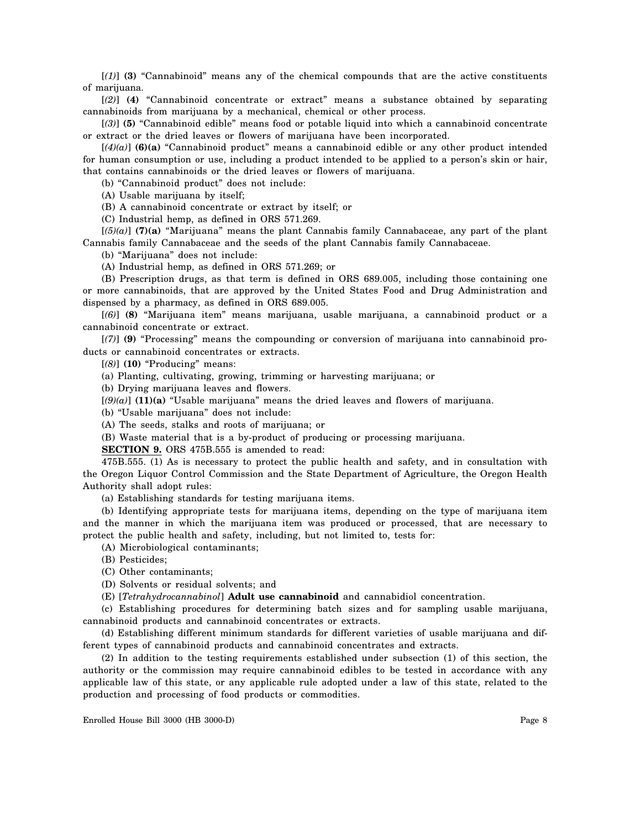[*(1)*] **(3)** "Cannabinoid" means any of the chemical compounds that are the active constituents of marijuana.

[*(2)*] **(4)** "Cannabinoid concentrate or extract" means a substance obtained by separating cannabinoids from marijuana by a mechanical, chemical or other process.

[*(3)*] **(5)** "Cannabinoid edible" means food or potable liquid into which a cannabinoid concentrate or extract or the dried leaves or flowers of marijuana have been incorporated.

[*(4)(a)*] **(6)(a)** "Cannabinoid product" means a cannabinoid edible or any other product intended for human consumption or use, including a product intended to be applied to a person's skin or hair, that contains cannabinoids or the dried leaves or flowers of marijuana.

(b) "Cannabinoid product" does not include:

(A) Usable marijuana by itself;

(B) A cannabinoid concentrate or extract by itself; or

(C) Industrial hemp, as defined in ORS 571.269.

[*(5)(a)*] **(7)(a)** "Marijuana" means the plant Cannabis family Cannabaceae, any part of the plant Cannabis family Cannabaceae and the seeds of the plant Cannabis family Cannabaceae.

(b) "Marijuana" does not include:

(A) Industrial hemp, as defined in ORS 571.269; or

(B) Prescription drugs, as that term is defined in ORS 689.005, including those containing one or more cannabinoids, that are approved by the United States Food and Drug Administration and dispensed by a pharmacy, as defined in ORS 689.005.

[*(6)*] **(8)** "Marijuana item" means marijuana, usable marijuana, a cannabinoid product or a cannabinoid concentrate or extract.

[*(7)*] **(9)** "Processing" means the compounding or conversion of marijuana into cannabinoid products or cannabinoid concentrates or extracts.

[*(8)*] **(10)** "Producing" means:

(a) Planting, cultivating, growing, trimming or harvesting marijuana; or

(b) Drying marijuana leaves and flowers.

 $[(9)(a)]$  **(11)(a)** "Usable marijuana" means the dried leaves and flowers of marijuana.

(b) "Usable marijuana" does not include:

(A) The seeds, stalks and roots of marijuana; or

(B) Waste material that is a by-product of producing or processing marijuana.

**SECTION 9.** ORS 475B.555 is amended to read:

475B.555. (1) As is necessary to protect the public health and safety, and in consultation with the Oregon Liquor Control Commission and the State Department of Agriculture, the Oregon Health Authority shall adopt rules:

(a) Establishing standards for testing marijuana items.

(b) Identifying appropriate tests for marijuana items, depending on the type of marijuana item and the manner in which the marijuana item was produced or processed, that are necessary to protect the public health and safety, including, but not limited to, tests for:

(A) Microbiological contaminants;

(B) Pesticides;

(C) Other contaminants;

(D) Solvents or residual solvents; and

(E) [*Tetrahydrocannabinol*] **Adult use cannabinoid** and cannabidiol concentration.

(c) Establishing procedures for determining batch sizes and for sampling usable marijuana, cannabinoid products and cannabinoid concentrates or extracts.

(d) Establishing different minimum standards for different varieties of usable marijuana and different types of cannabinoid products and cannabinoid concentrates and extracts.

(2) In addition to the testing requirements established under subsection (1) of this section, the authority or the commission may require cannabinoid edibles to be tested in accordance with any applicable law of this state, or any applicable rule adopted under a law of this state, related to the production and processing of food products or commodities.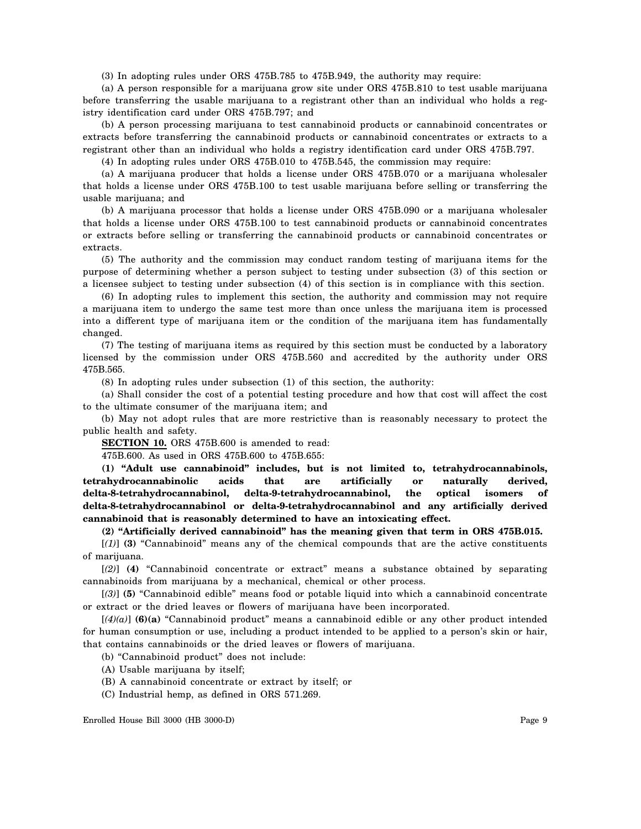(3) In adopting rules under ORS 475B.785 to 475B.949, the authority may require:

(a) A person responsible for a marijuana grow site under ORS 475B.810 to test usable marijuana before transferring the usable marijuana to a registrant other than an individual who holds a registry identification card under ORS 475B.797; and

(b) A person processing marijuana to test cannabinoid products or cannabinoid concentrates or extracts before transferring the cannabinoid products or cannabinoid concentrates or extracts to a registrant other than an individual who holds a registry identification card under ORS 475B.797.

(4) In adopting rules under ORS 475B.010 to 475B.545, the commission may require:

(a) A marijuana producer that holds a license under ORS 475B.070 or a marijuana wholesaler that holds a license under ORS 475B.100 to test usable marijuana before selling or transferring the usable marijuana; and

(b) A marijuana processor that holds a license under ORS 475B.090 or a marijuana wholesaler that holds a license under ORS 475B.100 to test cannabinoid products or cannabinoid concentrates or extracts before selling or transferring the cannabinoid products or cannabinoid concentrates or extracts.

(5) The authority and the commission may conduct random testing of marijuana items for the purpose of determining whether a person subject to testing under subsection (3) of this section or a licensee subject to testing under subsection (4) of this section is in compliance with this section.

(6) In adopting rules to implement this section, the authority and commission may not require a marijuana item to undergo the same test more than once unless the marijuana item is processed into a different type of marijuana item or the condition of the marijuana item has fundamentally changed.

(7) The testing of marijuana items as required by this section must be conducted by a laboratory licensed by the commission under ORS 475B.560 and accredited by the authority under ORS 475B.565.

(8) In adopting rules under subsection (1) of this section, the authority:

(a) Shall consider the cost of a potential testing procedure and how that cost will affect the cost to the ultimate consumer of the marijuana item; and

(b) May not adopt rules that are more restrictive than is reasonably necessary to protect the public health and safety.

**SECTION 10.** ORS 475B.600 is amended to read:

475B.600. As used in ORS 475B.600 to 475B.655:

**(1) "Adult use cannabinoid" includes, but is not limited to, tetrahydrocannabinols, tetrahydrocannabinolic acids that are artificially or naturally derived, delta-8-tetrahydrocannabinol, delta-9-tetrahydrocannabinol, the optical isomers of delta-8-tetrahydrocannabinol or delta-9-tetrahydrocannabinol and any artificially derived cannabinoid that is reasonably determined to have an intoxicating effect.**

**(2) "Artificially derived cannabinoid" has the meaning given that term in ORS 475B.015.**

[*(1)*] **(3)** "Cannabinoid" means any of the chemical compounds that are the active constituents of marijuana.

[*(2)*] **(4)** "Cannabinoid concentrate or extract" means a substance obtained by separating cannabinoids from marijuana by a mechanical, chemical or other process.

[*(3)*] **(5)** "Cannabinoid edible" means food or potable liquid into which a cannabinoid concentrate or extract or the dried leaves or flowers of marijuana have been incorporated.

[*(4)(a)*] **(6)(a)** "Cannabinoid product" means a cannabinoid edible or any other product intended for human consumption or use, including a product intended to be applied to a person's skin or hair, that contains cannabinoids or the dried leaves or flowers of marijuana.

(b) "Cannabinoid product" does not include:

(A) Usable marijuana by itself;

(B) A cannabinoid concentrate or extract by itself; or

(C) Industrial hemp, as defined in ORS 571.269.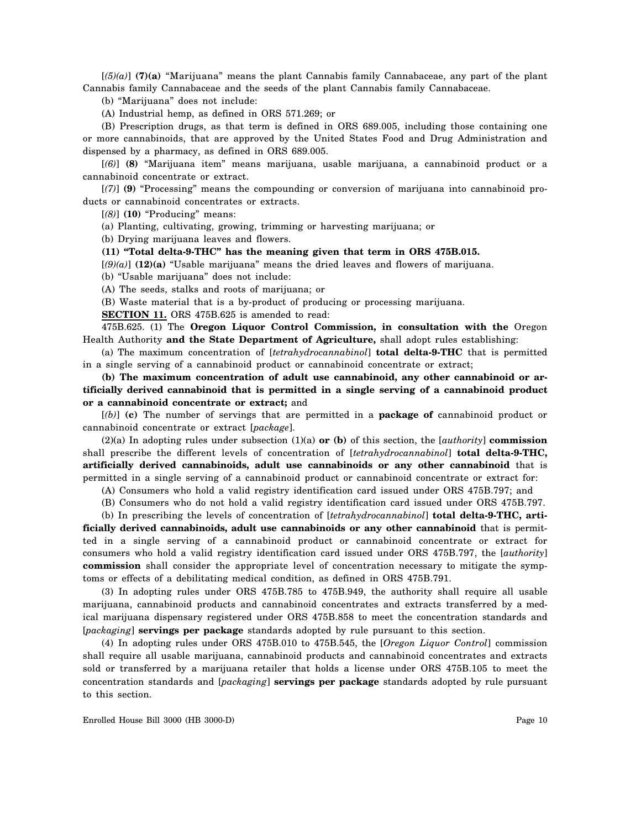[*(5)(a)*] **(7)(a)** "Marijuana" means the plant Cannabis family Cannabaceae, any part of the plant Cannabis family Cannabaceae and the seeds of the plant Cannabis family Cannabaceae.

(b) "Marijuana" does not include:

(A) Industrial hemp, as defined in ORS 571.269; or

(B) Prescription drugs, as that term is defined in ORS 689.005, including those containing one or more cannabinoids, that are approved by the United States Food and Drug Administration and dispensed by a pharmacy, as defined in ORS 689.005.

[*(6)*] **(8)** "Marijuana item" means marijuana, usable marijuana, a cannabinoid product or a cannabinoid concentrate or extract.

[*(7)*] **(9)** "Processing" means the compounding or conversion of marijuana into cannabinoid products or cannabinoid concentrates or extracts.

[*(8)*] **(10)** "Producing" means:

(a) Planting, cultivating, growing, trimming or harvesting marijuana; or

(b) Drying marijuana leaves and flowers.

**(11) "Total delta-9-THC" has the meaning given that term in ORS 475B.015.**

[*(9)(a)*] **(12)(a)** "Usable marijuana" means the dried leaves and flowers of marijuana.

(b) "Usable marijuana" does not include:

(A) The seeds, stalks and roots of marijuana; or

(B) Waste material that is a by-product of producing or processing marijuana.

**SECTION 11.** ORS 475B.625 is amended to read:

475B.625. (1) The **Oregon Liquor Control Commission, in consultation with the** Oregon Health Authority **and the State Department of Agriculture,** shall adopt rules establishing:

(a) The maximum concentration of [*tetrahydrocannabinol*] **total delta-9-THC** that is permitted in a single serving of a cannabinoid product or cannabinoid concentrate or extract;

**(b) The maximum concentration of adult use cannabinoid, any other cannabinoid or artificially derived cannabinoid that is permitted in a single serving of a cannabinoid product or a cannabinoid concentrate or extract;** and

[*(b)*] **(c)** The number of servings that are permitted in a **package of** cannabinoid product or cannabinoid concentrate or extract [*package*].

(2)(a) In adopting rules under subsection (1)(a) **or (b)** of this section, the [*authority*] **commission** shall prescribe the different levels of concentration of [*tetrahydrocannabinol*] **total delta-9-THC, artificially derived cannabinoids, adult use cannabinoids or any other cannabinoid** that is permitted in a single serving of a cannabinoid product or cannabinoid concentrate or extract for:

(A) Consumers who hold a valid registry identification card issued under ORS 475B.797; and

(B) Consumers who do not hold a valid registry identification card issued under ORS 475B.797.

(b) In prescribing the levels of concentration of [*tetrahydrocannabinol*] **total delta-9-THC, arti-**

**ficially derived cannabinoids, adult use cannabinoids or any other cannabinoid** that is permitted in a single serving of a cannabinoid product or cannabinoid concentrate or extract for consumers who hold a valid registry identification card issued under ORS 475B.797, the [*authority*] **commission** shall consider the appropriate level of concentration necessary to mitigate the symptoms or effects of a debilitating medical condition, as defined in ORS 475B.791.

(3) In adopting rules under ORS 475B.785 to 475B.949, the authority shall require all usable marijuana, cannabinoid products and cannabinoid concentrates and extracts transferred by a medical marijuana dispensary registered under ORS 475B.858 to meet the concentration standards and [*packaging*] **servings per package** standards adopted by rule pursuant to this section.

(4) In adopting rules under ORS 475B.010 to 475B.545, the [*Oregon Liquor Control*] commission shall require all usable marijuana, cannabinoid products and cannabinoid concentrates and extracts sold or transferred by a marijuana retailer that holds a license under ORS 475B.105 to meet the concentration standards and [*packaging*] **servings per package** standards adopted by rule pursuant to this section.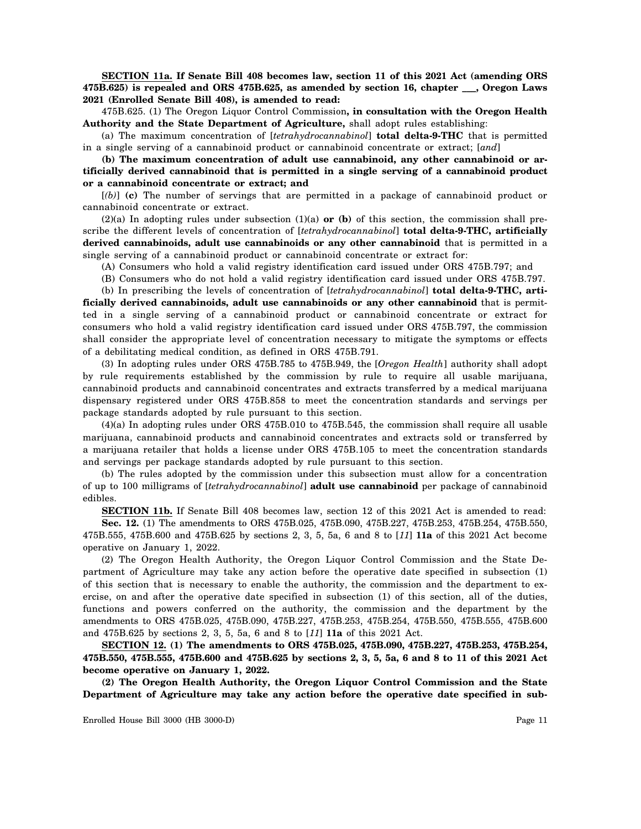**SECTION 11a. If Senate Bill 408 becomes law, section 11 of this 2021 Act (amending ORS 475B.625) is repealed and ORS 475B.625, as amended by section 16, chapter \_\_\_, Oregon Laws 2021 (Enrolled Senate Bill 408), is amended to read:**

475B.625. (1) The Oregon Liquor Control Commission**, in consultation with the Oregon Health Authority and the State Department of Agriculture,** shall adopt rules establishing:

(a) The maximum concentration of [*tetrahydrocannabinol*] **total delta-9-THC** that is permitted in a single serving of a cannabinoid product or cannabinoid concentrate or extract; [*and*]

**(b) The maximum concentration of adult use cannabinoid, any other cannabinoid or artificially derived cannabinoid that is permitted in a single serving of a cannabinoid product or a cannabinoid concentrate or extract; and**

[*(b)*] **(c)** The number of servings that are permitted in a package of cannabinoid product or cannabinoid concentrate or extract.

(2)(a) In adopting rules under subsection (1)(a) **or (b)** of this section, the commission shall prescribe the different levels of concentration of [*tetrahydrocannabinol*] **total delta-9-THC, artificially derived cannabinoids, adult use cannabinoids or any other cannabinoid** that is permitted in a single serving of a cannabinoid product or cannabinoid concentrate or extract for:

(A) Consumers who hold a valid registry identification card issued under ORS 475B.797; and

(B) Consumers who do not hold a valid registry identification card issued under ORS 475B.797.

(b) In prescribing the levels of concentration of [*tetrahydrocannabinol*] **total delta-9-THC, arti-**

**ficially derived cannabinoids, adult use cannabinoids or any other cannabinoid** that is permitted in a single serving of a cannabinoid product or cannabinoid concentrate or extract for consumers who hold a valid registry identification card issued under ORS 475B.797, the commission shall consider the appropriate level of concentration necessary to mitigate the symptoms or effects of a debilitating medical condition, as defined in ORS 475B.791.

(3) In adopting rules under ORS 475B.785 to 475B.949, the [*Oregon Health*] authority shall adopt by rule requirements established by the commission by rule to require all usable marijuana, cannabinoid products and cannabinoid concentrates and extracts transferred by a medical marijuana dispensary registered under ORS 475B.858 to meet the concentration standards and servings per package standards adopted by rule pursuant to this section.

(4)(a) In adopting rules under ORS 475B.010 to 475B.545, the commission shall require all usable marijuana, cannabinoid products and cannabinoid concentrates and extracts sold or transferred by a marijuana retailer that holds a license under ORS 475B.105 to meet the concentration standards and servings per package standards adopted by rule pursuant to this section.

(b) The rules adopted by the commission under this subsection must allow for a concentration of up to 100 milligrams of [*tetrahydrocannabinol*] **adult use cannabinoid** per package of cannabinoid edibles.

**SECTION 11b.** If Senate Bill 408 becomes law, section 12 of this 2021 Act is amended to read:

**Sec. 12.** (1) The amendments to ORS 475B.025, 475B.090, 475B.227, 475B.253, 475B.254, 475B.550, 475B.555, 475B.600 and 475B.625 by sections 2, 3, 5, 5a, 6 and 8 to [*11*] **11a** of this 2021 Act become operative on January 1, 2022.

(2) The Oregon Health Authority, the Oregon Liquor Control Commission and the State Department of Agriculture may take any action before the operative date specified in subsection (1) of this section that is necessary to enable the authority, the commission and the department to exercise, on and after the operative date specified in subsection (1) of this section, all of the duties, functions and powers conferred on the authority, the commission and the department by the amendments to ORS 475B.025, 475B.090, 475B.227, 475B.253, 475B.254, 475B.550, 475B.555, 475B.600 and 475B.625 by sections 2, 3, 5, 5a, 6 and 8 to [*11*] **11a** of this 2021 Act.

**SECTION 12. (1) The amendments to ORS 475B.025, 475B.090, 475B.227, 475B.253, 475B.254, 475B.550, 475B.555, 475B.600 and 475B.625 by sections 2, 3, 5, 5a, 6 and 8 to 11 of this 2021 Act become operative on January 1, 2022.**

**(2) The Oregon Health Authority, the Oregon Liquor Control Commission and the State Department of Agriculture may take any action before the operative date specified in sub-**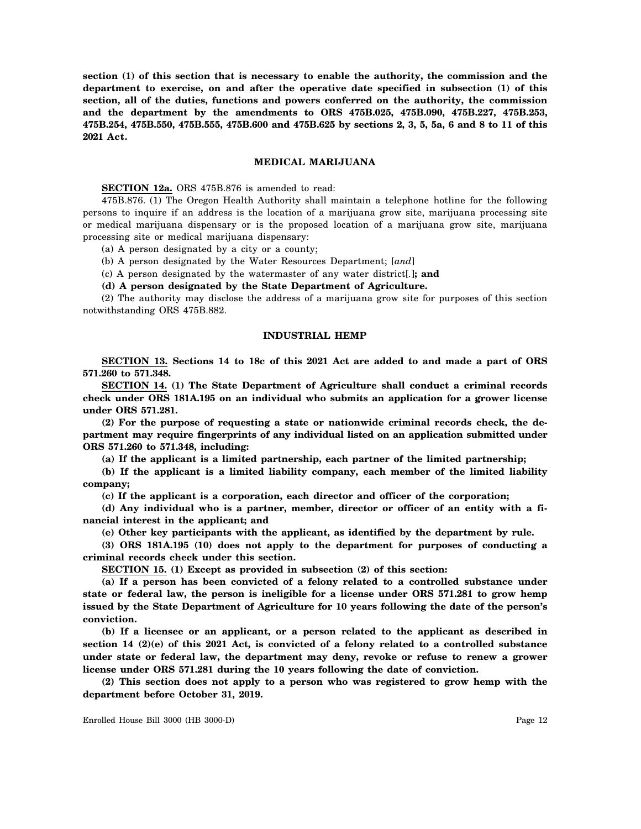**section (1) of this section that is necessary to enable the authority, the commission and the department to exercise, on and after the operative date specified in subsection (1) of this section, all of the duties, functions and powers conferred on the authority, the commission and the department by the amendments to ORS 475B.025, 475B.090, 475B.227, 475B.253, 475B.254, 475B.550, 475B.555, 475B.600 and 475B.625 by sections 2, 3, 5, 5a, 6 and 8 to 11 of this 2021 Act.**

## **MEDICAL MARIJUANA**

**SECTION 12a.** ORS 475B.876 is amended to read:

475B.876. (1) The Oregon Health Authority shall maintain a telephone hotline for the following persons to inquire if an address is the location of a marijuana grow site, marijuana processing site or medical marijuana dispensary or is the proposed location of a marijuana grow site, marijuana processing site or medical marijuana dispensary:

(a) A person designated by a city or a county;

(b) A person designated by the Water Resources Department; [*and*]

(c) A person designated by the watermaster of any water district[*.*]**; and**

**(d) A person designated by the State Department of Agriculture.**

(2) The authority may disclose the address of a marijuana grow site for purposes of this section notwithstanding ORS 475B.882.

# **INDUSTRIAL HEMP**

**SECTION 13. Sections 14 to 18c of this 2021 Act are added to and made a part of ORS 571.260 to 571.348.**

**SECTION 14. (1) The State Department of Agriculture shall conduct a criminal records check under ORS 181A.195 on an individual who submits an application for a grower license under ORS 571.281.**

**(2) For the purpose of requesting a state or nationwide criminal records check, the department may require fingerprints of any individual listed on an application submitted under ORS 571.260 to 571.348, including:**

**(a) If the applicant is a limited partnership, each partner of the limited partnership;**

**(b) If the applicant is a limited liability company, each member of the limited liability company;**

**(c) If the applicant is a corporation, each director and officer of the corporation;**

**(d) Any individual who is a partner, member, director or officer of an entity with a financial interest in the applicant; and**

**(e) Other key participants with the applicant, as identified by the department by rule.**

**(3) ORS 181A.195 (10) does not apply to the department for purposes of conducting a criminal records check under this section.**

**SECTION 15. (1) Except as provided in subsection (2) of this section:**

**(a) If a person has been convicted of a felony related to a controlled substance under state or federal law, the person is ineligible for a license under ORS 571.281 to grow hemp issued by the State Department of Agriculture for 10 years following the date of the person's conviction.**

**(b) If a licensee or an applicant, or a person related to the applicant as described in section 14 (2)(e) of this 2021 Act, is convicted of a felony related to a controlled substance under state or federal law, the department may deny, revoke or refuse to renew a grower license under ORS 571.281 during the 10 years following the date of conviction.**

**(2) This section does not apply to a person who was registered to grow hemp with the department before October 31, 2019.**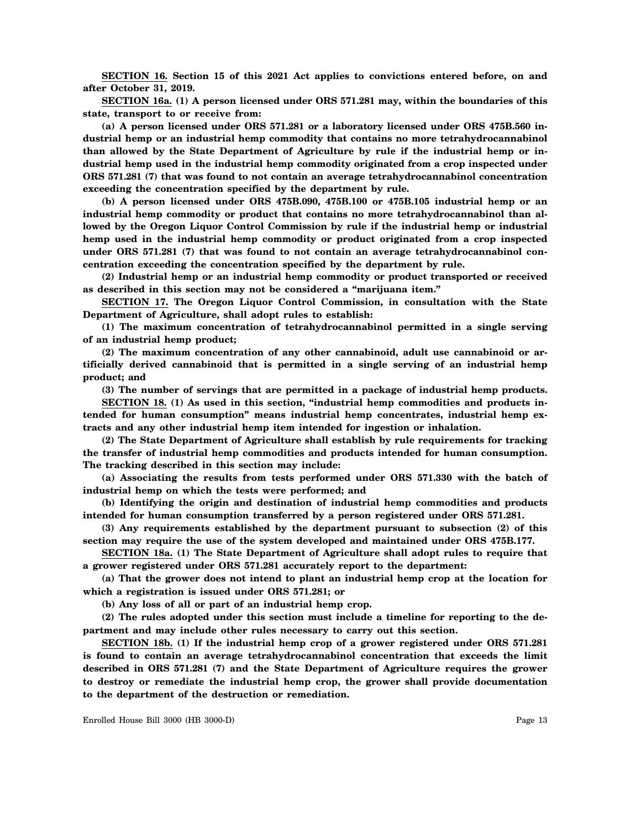**SECTION 16. Section 15 of this 2021 Act applies to convictions entered before, on and after October 31, 2019.**

**SECTION 16a. (1) A person licensed under ORS 571.281 may, within the boundaries of this state, transport to or receive from:**

**(a) A person licensed under ORS 571.281 or a laboratory licensed under ORS 475B.560 industrial hemp or an industrial hemp commodity that contains no more tetrahydrocannabinol than allowed by the State Department of Agriculture by rule if the industrial hemp or industrial hemp used in the industrial hemp commodity originated from a crop inspected under ORS 571.281 (7) that was found to not contain an average tetrahydrocannabinol concentration exceeding the concentration specified by the department by rule.**

**(b) A person licensed under ORS 475B.090, 475B.100 or 475B.105 industrial hemp or an industrial hemp commodity or product that contains no more tetrahydrocannabinol than allowed by the Oregon Liquor Control Commission by rule if the industrial hemp or industrial hemp used in the industrial hemp commodity or product originated from a crop inspected under ORS 571.281 (7) that was found to not contain an average tetrahydrocannabinol concentration exceeding the concentration specified by the department by rule.**

**(2) Industrial hemp or an industrial hemp commodity or product transported or received as described in this section may not be considered a "marijuana item."**

**SECTION 17. The Oregon Liquor Control Commission, in consultation with the State Department of Agriculture, shall adopt rules to establish:**

**(1) The maximum concentration of tetrahydrocannabinol permitted in a single serving of an industrial hemp product;**

**(2) The maximum concentration of any other cannabinoid, adult use cannabinoid or artificially derived cannabinoid that is permitted in a single serving of an industrial hemp product; and**

**(3) The number of servings that are permitted in a package of industrial hemp products.**

**SECTION 18. (1) As used in this section, "industrial hemp commodities and products intended for human consumption" means industrial hemp concentrates, industrial hemp extracts and any other industrial hemp item intended for ingestion or inhalation.**

**(2) The State Department of Agriculture shall establish by rule requirements for tracking the transfer of industrial hemp commodities and products intended for human consumption. The tracking described in this section may include:**

**(a) Associating the results from tests performed under ORS 571.330 with the batch of industrial hemp on which the tests were performed; and**

**(b) Identifying the origin and destination of industrial hemp commodities and products intended for human consumption transferred by a person registered under ORS 571.281.**

**(3) Any requirements established by the department pursuant to subsection (2) of this section may require the use of the system developed and maintained under ORS 475B.177.**

**SECTION 18a. (1) The State Department of Agriculture shall adopt rules to require that a grower registered under ORS 571.281 accurately report to the department:**

**(a) That the grower does not intend to plant an industrial hemp crop at the location for which a registration is issued under ORS 571.281; or**

**(b) Any loss of all or part of an industrial hemp crop.**

**(2) The rules adopted under this section must include a timeline for reporting to the department and may include other rules necessary to carry out this section.**

**SECTION 18b. (1) If the industrial hemp crop of a grower registered under ORS 571.281 is found to contain an average tetrahydrocannabinol concentration that exceeds the limit described in ORS 571.281 (7) and the State Department of Agriculture requires the grower to destroy or remediate the industrial hemp crop, the grower shall provide documentation to the department of the destruction or remediation.**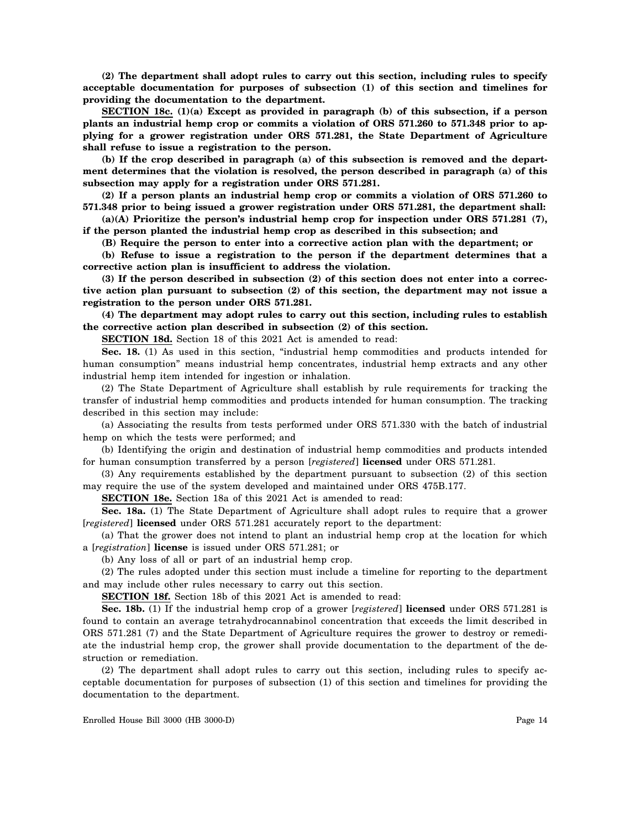**(2) The department shall adopt rules to carry out this section, including rules to specify acceptable documentation for purposes of subsection (1) of this section and timelines for providing the documentation to the department.**

**SECTION 18c. (1)(a) Except as provided in paragraph (b) of this subsection, if a person plants an industrial hemp crop or commits a violation of ORS 571.260 to 571.348 prior to applying for a grower registration under ORS 571.281, the State Department of Agriculture shall refuse to issue a registration to the person.**

**(b) If the crop described in paragraph (a) of this subsection is removed and the department determines that the violation is resolved, the person described in paragraph (a) of this subsection may apply for a registration under ORS 571.281.**

**(2) If a person plants an industrial hemp crop or commits a violation of ORS 571.260 to 571.348 prior to being issued a grower registration under ORS 571.281, the department shall:**

**(a)(A) Prioritize the person's industrial hemp crop for inspection under ORS 571.281 (7), if the person planted the industrial hemp crop as described in this subsection; and**

**(B) Require the person to enter into a corrective action plan with the department; or**

**(b) Refuse to issue a registration to the person if the department determines that a corrective action plan is insufficient to address the violation.**

**(3) If the person described in subsection (2) of this section does not enter into a corrective action plan pursuant to subsection (2) of this section, the department may not issue a registration to the person under ORS 571.281.**

**(4) The department may adopt rules to carry out this section, including rules to establish the corrective action plan described in subsection (2) of this section.**

**SECTION 18d.** Section 18 of this 2021 Act is amended to read:

**Sec. 18.** (1) As used in this section, "industrial hemp commodities and products intended for human consumption" means industrial hemp concentrates, industrial hemp extracts and any other industrial hemp item intended for ingestion or inhalation.

(2) The State Department of Agriculture shall establish by rule requirements for tracking the transfer of industrial hemp commodities and products intended for human consumption. The tracking described in this section may include:

(a) Associating the results from tests performed under ORS 571.330 with the batch of industrial hemp on which the tests were performed; and

(b) Identifying the origin and destination of industrial hemp commodities and products intended for human consumption transferred by a person [*registered*] **licensed** under ORS 571.281.

(3) Any requirements established by the department pursuant to subsection (2) of this section may require the use of the system developed and maintained under ORS 475B.177.

**SECTION 18e.** Section 18a of this 2021 Act is amended to read:

**Sec. 18a.** (1) The State Department of Agriculture shall adopt rules to require that a grower [*registered*] **licensed** under ORS 571.281 accurately report to the department:

(a) That the grower does not intend to plant an industrial hemp crop at the location for which a [*registration*] **license** is issued under ORS 571.281; or

(b) Any loss of all or part of an industrial hemp crop.

(2) The rules adopted under this section must include a timeline for reporting to the department and may include other rules necessary to carry out this section.

**SECTION 18f.** Section 18b of this 2021 Act is amended to read:

**Sec. 18b.** (1) If the industrial hemp crop of a grower [*registered*] **licensed** under ORS 571.281 is found to contain an average tetrahydrocannabinol concentration that exceeds the limit described in ORS 571.281 (7) and the State Department of Agriculture requires the grower to destroy or remediate the industrial hemp crop, the grower shall provide documentation to the department of the destruction or remediation.

(2) The department shall adopt rules to carry out this section, including rules to specify acceptable documentation for purposes of subsection (1) of this section and timelines for providing the documentation to the department.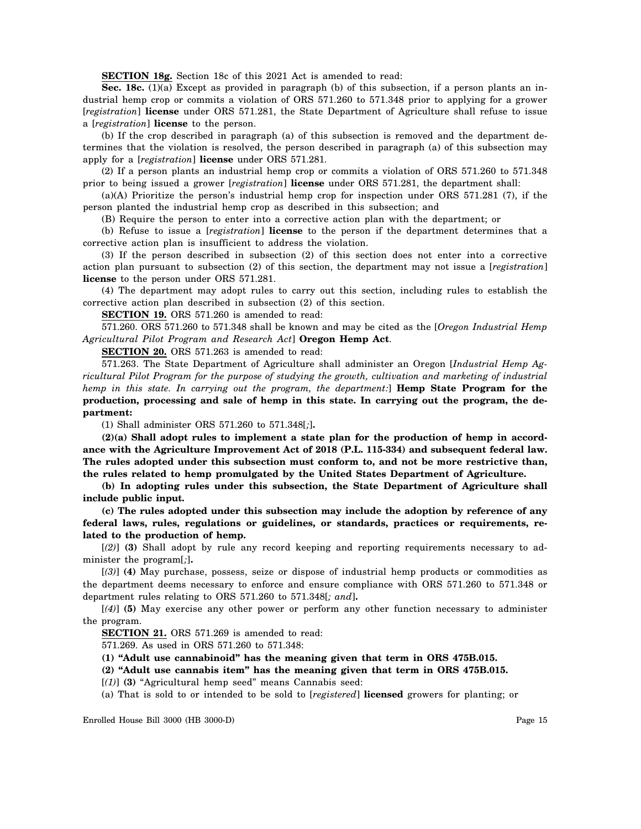**SECTION 18g.** Section 18c of this 2021 Act is amended to read:

**Sec. 18c.** (1)(a) Except as provided in paragraph (b) of this subsection, if a person plants an industrial hemp crop or commits a violation of ORS 571.260 to 571.348 prior to applying for a grower [*registration*] **license** under ORS 571.281, the State Department of Agriculture shall refuse to issue a [*registration*] **license** to the person.

(b) If the crop described in paragraph (a) of this subsection is removed and the department determines that the violation is resolved, the person described in paragraph (a) of this subsection may apply for a [*registration*] **license** under ORS 571.281.

(2) If a person plants an industrial hemp crop or commits a violation of ORS 571.260 to 571.348 prior to being issued a grower [*registration*] **license** under ORS 571.281, the department shall:

(a)(A) Prioritize the person's industrial hemp crop for inspection under ORS 571.281 (7), if the person planted the industrial hemp crop as described in this subsection; and

(B) Require the person to enter into a corrective action plan with the department; or

(b) Refuse to issue a [*registration*] **license** to the person if the department determines that a corrective action plan is insufficient to address the violation.

(3) If the person described in subsection (2) of this section does not enter into a corrective action plan pursuant to subsection (2) of this section, the department may not issue a [*registration*] **license** to the person under ORS 571.281.

(4) The department may adopt rules to carry out this section, including rules to establish the corrective action plan described in subsection (2) of this section.

**SECTION 19.** ORS 571.260 is amended to read:

571.260. ORS 571.260 to 571.348 shall be known and may be cited as the [*Oregon Industrial Hemp Agricultural Pilot Program and Research Act*] **Oregon Hemp Act**.

**SECTION 20.** ORS 571.263 is amended to read:

571.263. The State Department of Agriculture shall administer an Oregon [*Industrial Hemp Agricultural Pilot Program for the purpose of studying the growth, cultivation and marketing of industrial hemp in this state. In carrying out the program, the department:*] **Hemp State Program for the production, processing and sale of hemp in this state. In carrying out the program, the department:**

(1) Shall administer ORS 571.260 to 571.348[*;*]**.**

**(2)(a) Shall adopt rules to implement a state plan for the production of hemp in accordance with the Agriculture Improvement Act of 2018 (P.L. 115-334) and subsequent federal law. The rules adopted under this subsection must conform to, and not be more restrictive than, the rules related to hemp promulgated by the United States Department of Agriculture.**

**(b) In adopting rules under this subsection, the State Department of Agriculture shall include public input.**

**(c) The rules adopted under this subsection may include the adoption by reference of any federal laws, rules, regulations or guidelines, or standards, practices or requirements, related to the production of hemp.**

[*(2)*] **(3)** Shall adopt by rule any record keeping and reporting requirements necessary to administer the program[*;*]**.**

[*(3)*] **(4)** May purchase, possess, seize or dispose of industrial hemp products or commodities as the department deems necessary to enforce and ensure compliance with ORS 571.260 to 571.348 or department rules relating to ORS 571.260 to 571.348[*; and*]**.**

[*(4)*] **(5)** May exercise any other power or perform any other function necessary to administer the program.

**SECTION 21.** ORS 571.269 is amended to read:

571.269. As used in ORS 571.260 to 571.348:

**(1) "Adult use cannabinoid" has the meaning given that term in ORS 475B.015.**

**(2) "Adult use cannabis item" has the meaning given that term in ORS 475B.015.**

[*(1)*] **(3)** "Agricultural hemp seed" means Cannabis seed:

(a) That is sold to or intended to be sold to [*registered*] **licensed** growers for planting; or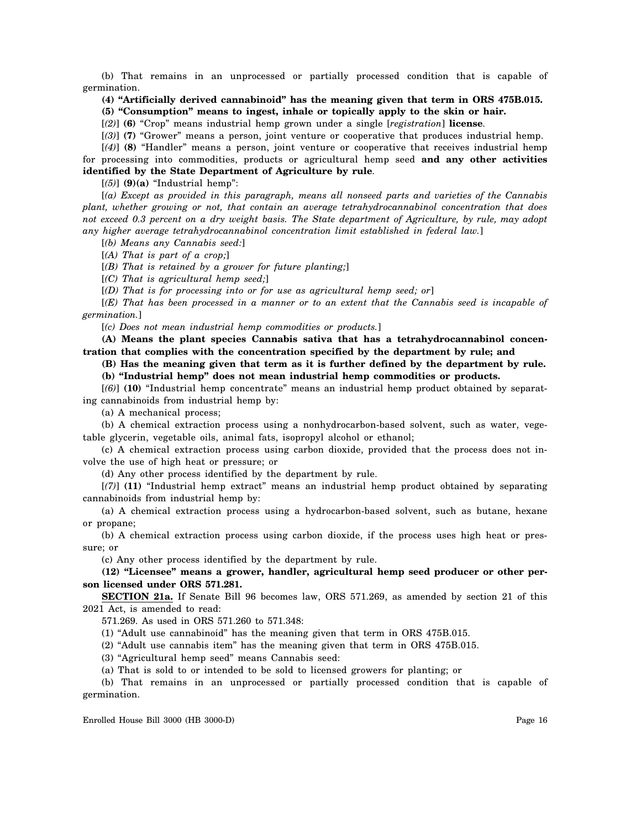(b) That remains in an unprocessed or partially processed condition that is capable of germination.

**(4) "Artificially derived cannabinoid" has the meaning given that term in ORS 475B.015. (5) "Consumption" means to ingest, inhale or topically apply to the skin or hair.**

[*(2)*] **(6)** "Crop" means industrial hemp grown under a single [*registration*] **license**.

[*(3)*] **(7)** "Grower" means a person, joint venture or cooperative that produces industrial hemp.

[*(4)*] **(8)** "Handler" means a person, joint venture or cooperative that receives industrial hemp for processing into commodities, products or agricultural hemp seed **and any other activities identified by the State Department of Agriculture by rule**.

[*(5)*] **(9)(a)** "Industrial hemp":

[*(a) Except as provided in this paragraph, means all nonseed parts and varieties of the Cannabis plant, whether growing or not, that contain an average tetrahydrocannabinol concentration that does not exceed 0.3 percent on a dry weight basis. The State department of Agriculture, by rule, may adopt any higher average tetrahydrocannabinol concentration limit established in federal law.*]

[*(b) Means any Cannabis seed:*]

[*(A) That is part of a crop;*]

[*(B) That is retained by a grower for future planting;*]

[*(C) That is agricultural hemp seed;*]

[*(D) That is for processing into or for use as agricultural hemp seed; or*]

[*(E) That has been processed in a manner or to an extent that the Cannabis seed is incapable of germination.*]

[*(c) Does not mean industrial hemp commodities or products.*]

**(A) Means the plant species Cannabis sativa that has a tetrahydrocannabinol concentration that complies with the concentration specified by the department by rule; and**

**(B) Has the meaning given that term as it is further defined by the department by rule.**

**(b) "Industrial hemp" does not mean industrial hemp commodities or products.**

[*(6)*] **(10)** "Industrial hemp concentrate" means an industrial hemp product obtained by separating cannabinoids from industrial hemp by:

(a) A mechanical process;

(b) A chemical extraction process using a nonhydrocarbon-based solvent, such as water, vegetable glycerin, vegetable oils, animal fats, isopropyl alcohol or ethanol;

(c) A chemical extraction process using carbon dioxide, provided that the process does not involve the use of high heat or pressure; or

(d) Any other process identified by the department by rule.

[*(7)*] **(11)** "Industrial hemp extract" means an industrial hemp product obtained by separating cannabinoids from industrial hemp by:

(a) A chemical extraction process using a hydrocarbon-based solvent, such as butane, hexane or propane;

(b) A chemical extraction process using carbon dioxide, if the process uses high heat or pressure; or

(c) Any other process identified by the department by rule.

**(12) "Licensee" means a grower, handler, agricultural hemp seed producer or other person licensed under ORS 571.281.**

**SECTION 21a.** If Senate Bill 96 becomes law, ORS 571.269, as amended by section 21 of this 2021 Act, is amended to read:

571.269. As used in ORS 571.260 to 571.348:

(1) "Adult use cannabinoid" has the meaning given that term in ORS 475B.015.

(2) "Adult use cannabis item" has the meaning given that term in ORS 475B.015.

(3) "Agricultural hemp seed" means Cannabis seed:

(a) That is sold to or intended to be sold to licensed growers for planting; or

(b) That remains in an unprocessed or partially processed condition that is capable of germination.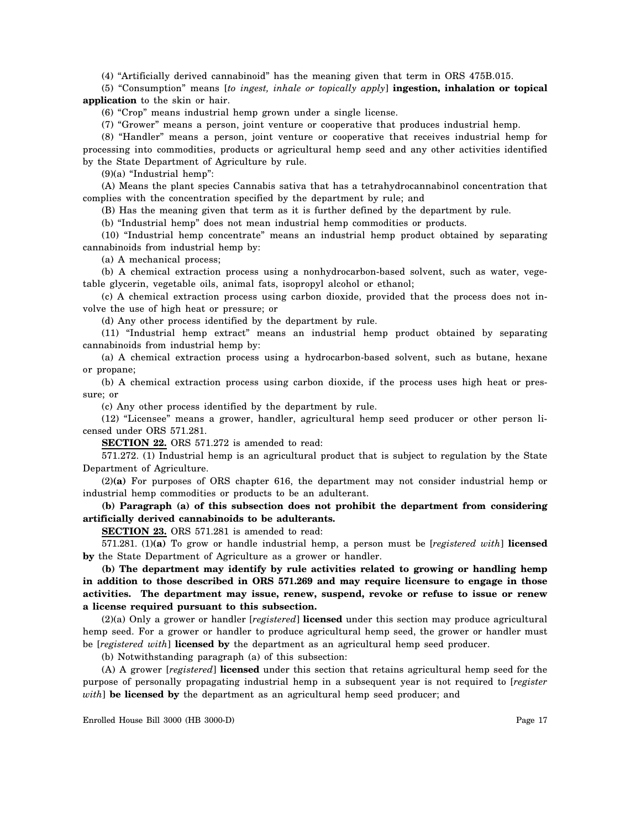(4) "Artificially derived cannabinoid" has the meaning given that term in ORS 475B.015.

(5) "Consumption" means [*to ingest, inhale or topically apply*] **ingestion, inhalation or topical application** to the skin or hair.

(6) "Crop" means industrial hemp grown under a single license.

(7) "Grower" means a person, joint venture or cooperative that produces industrial hemp.

(8) "Handler" means a person, joint venture or cooperative that receives industrial hemp for processing into commodities, products or agricultural hemp seed and any other activities identified by the State Department of Agriculture by rule.

 $(9)(a)$  "Industrial hemp":

(A) Means the plant species Cannabis sativa that has a tetrahydrocannabinol concentration that complies with the concentration specified by the department by rule; and

(B) Has the meaning given that term as it is further defined by the department by rule.

(b) "Industrial hemp" does not mean industrial hemp commodities or products.

(10) "Industrial hemp concentrate" means an industrial hemp product obtained by separating cannabinoids from industrial hemp by:

(a) A mechanical process;

(b) A chemical extraction process using a nonhydrocarbon-based solvent, such as water, vegetable glycerin, vegetable oils, animal fats, isopropyl alcohol or ethanol;

(c) A chemical extraction process using carbon dioxide, provided that the process does not involve the use of high heat or pressure; or

(d) Any other process identified by the department by rule.

(11) "Industrial hemp extract" means an industrial hemp product obtained by separating cannabinoids from industrial hemp by:

(a) A chemical extraction process using a hydrocarbon-based solvent, such as butane, hexane or propane;

(b) A chemical extraction process using carbon dioxide, if the process uses high heat or pressure; or

(c) Any other process identified by the department by rule.

(12) "Licensee" means a grower, handler, agricultural hemp seed producer or other person licensed under ORS 571.281.

**SECTION 22.** ORS 571.272 is amended to read:

571.272. (1) Industrial hemp is an agricultural product that is subject to regulation by the State Department of Agriculture.

(2)**(a)** For purposes of ORS chapter 616, the department may not consider industrial hemp or industrial hemp commodities or products to be an adulterant.

**(b) Paragraph (a) of this subsection does not prohibit the department from considering artificially derived cannabinoids to be adulterants.**

**SECTION 23.** ORS 571.281 is amended to read:

571.281. (1)**(a)** To grow or handle industrial hemp, a person must be [*registered with*] **licensed by** the State Department of Agriculture as a grower or handler.

**(b) The department may identify by rule activities related to growing or handling hemp in addition to those described in ORS 571.269 and may require licensure to engage in those activities. The department may issue, renew, suspend, revoke or refuse to issue or renew a license required pursuant to this subsection.**

(2)(a) Only a grower or handler [*registered*] **licensed** under this section may produce agricultural hemp seed. For a grower or handler to produce agricultural hemp seed, the grower or handler must be [*registered with*] **licensed by** the department as an agricultural hemp seed producer.

(b) Notwithstanding paragraph (a) of this subsection:

(A) A grower [*registered*] **licensed** under this section that retains agricultural hemp seed for the purpose of personally propagating industrial hemp in a subsequent year is not required to [*register with*] **be licensed by** the department as an agricultural hemp seed producer; and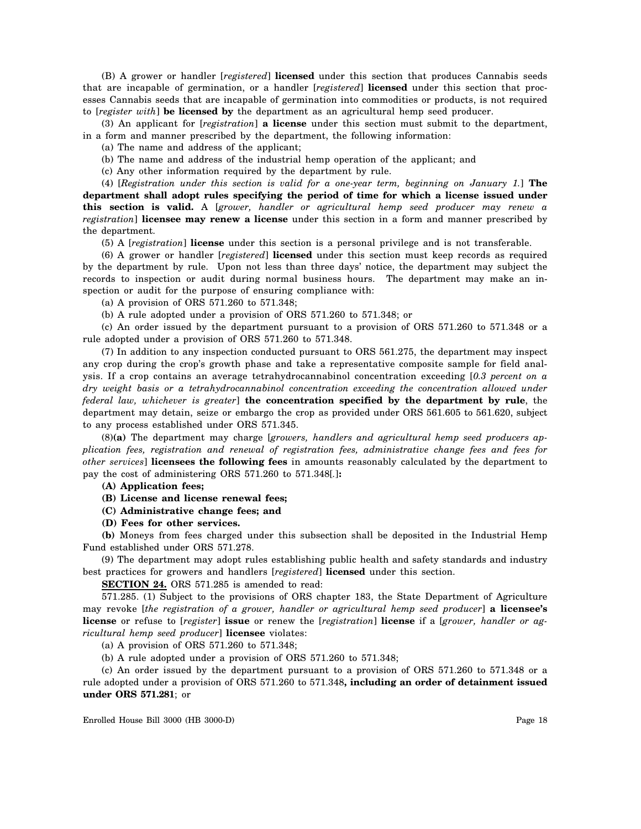(B) A grower or handler [*registered*] **licensed** under this section that produces Cannabis seeds that are incapable of germination, or a handler [*registered*] **licensed** under this section that processes Cannabis seeds that are incapable of germination into commodities or products, is not required to [*register with*] **be licensed by** the department as an agricultural hemp seed producer.

(3) An applicant for [*registration*] **a license** under this section must submit to the department, in a form and manner prescribed by the department, the following information:

(a) The name and address of the applicant;

(b) The name and address of the industrial hemp operation of the applicant; and

(c) Any other information required by the department by rule.

(4) [*Registration under this section is valid for a one-year term, beginning on January 1.*] **The department shall adopt rules specifying the period of time for which a license issued under this section is valid.** A [*grower, handler or agricultural hemp seed producer may renew a registration*] **licensee may renew a license** under this section in a form and manner prescribed by the department.

(5) A [*registration*] **license** under this section is a personal privilege and is not transferable.

(6) A grower or handler [*registered*] **licensed** under this section must keep records as required by the department by rule. Upon not less than three days' notice, the department may subject the records to inspection or audit during normal business hours. The department may make an inspection or audit for the purpose of ensuring compliance with:

(a) A provision of ORS 571.260 to 571.348;

(b) A rule adopted under a provision of ORS 571.260 to 571.348; or

(c) An order issued by the department pursuant to a provision of ORS 571.260 to 571.348 or a rule adopted under a provision of ORS 571.260 to 571.348.

(7) In addition to any inspection conducted pursuant to ORS 561.275, the department may inspect any crop during the crop's growth phase and take a representative composite sample for field analysis. If a crop contains an average tetrahydrocannabinol concentration exceeding [*0.3 percent on a dry weight basis or a tetrahydrocannabinol concentration exceeding the concentration allowed under federal law, whichever is greater*] **the concentration specified by the department by rule**, the department may detain, seize or embargo the crop as provided under ORS 561.605 to 561.620, subject to any process established under ORS 571.345.

(8)**(a)** The department may charge [*growers, handlers and agricultural hemp seed producers application fees, registration and renewal of registration fees, administrative change fees and fees for other services*] **licensees the following fees** in amounts reasonably calculated by the department to pay the cost of administering ORS 571.260 to 571.348[*.*]**:**

**(A) Application fees;**

**(B) License and license renewal fees;**

**(C) Administrative change fees; and**

**(D) Fees for other services.**

**(b)** Moneys from fees charged under this subsection shall be deposited in the Industrial Hemp Fund established under ORS 571.278.

(9) The department may adopt rules establishing public health and safety standards and industry best practices for growers and handlers [*registered*] **licensed** under this section.

**SECTION 24.** ORS 571.285 is amended to read:

571.285. (1) Subject to the provisions of ORS chapter 183, the State Department of Agriculture may revoke [*the registration of a grower, handler or agricultural hemp seed producer*] **a licensee's license** or refuse to [*register*] **issue** or renew the [*registration*] **license** if a [*grower, handler or agricultural hemp seed producer*] **licensee** violates:

(a) A provision of ORS 571.260 to 571.348;

(b) A rule adopted under a provision of ORS 571.260 to 571.348;

(c) An order issued by the department pursuant to a provision of ORS 571.260 to 571.348 or a rule adopted under a provision of ORS 571.260 to 571.348**, including an order of detainment issued under ORS 571.281**; or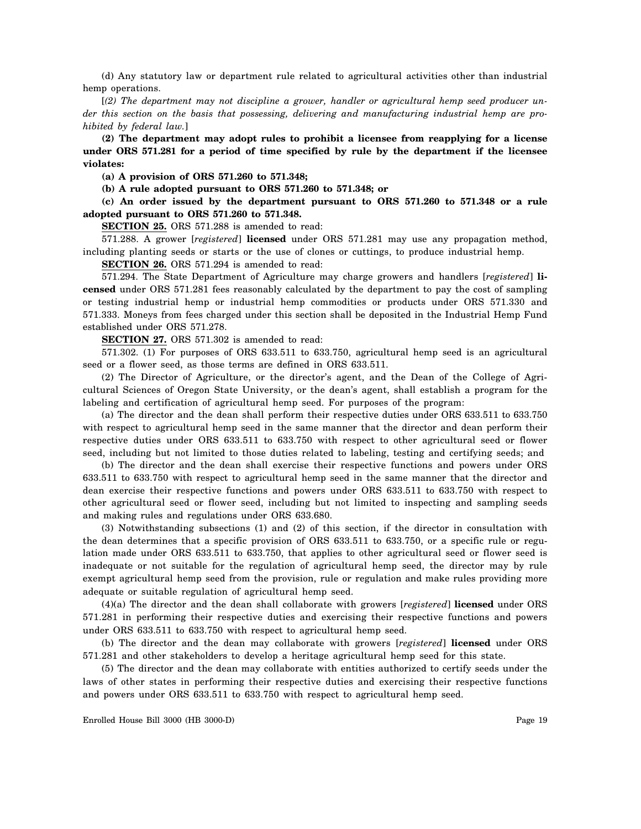(d) Any statutory law or department rule related to agricultural activities other than industrial hemp operations.

[*(2) The department may not discipline a grower, handler or agricultural hemp seed producer under this section on the basis that possessing, delivering and manufacturing industrial hemp are prohibited by federal law.*]

**(2) The department may adopt rules to prohibit a licensee from reapplying for a license under ORS 571.281 for a period of time specified by rule by the department if the licensee violates:**

**(a) A provision of ORS 571.260 to 571.348;**

**(b) A rule adopted pursuant to ORS 571.260 to 571.348; or**

**(c) An order issued by the department pursuant to ORS 571.260 to 571.348 or a rule adopted pursuant to ORS 571.260 to 571.348.**

**SECTION 25.** ORS 571.288 is amended to read:

571.288. A grower [*registered*] **licensed** under ORS 571.281 may use any propagation method, including planting seeds or starts or the use of clones or cuttings, to produce industrial hemp.

**SECTION 26.** ORS 571.294 is amended to read:

571.294. The State Department of Agriculture may charge growers and handlers [*registered*] **licensed** under ORS 571.281 fees reasonably calculated by the department to pay the cost of sampling or testing industrial hemp or industrial hemp commodities or products under ORS 571.330 and 571.333. Moneys from fees charged under this section shall be deposited in the Industrial Hemp Fund established under ORS 571.278.

**SECTION 27.** ORS 571.302 is amended to read:

571.302. (1) For purposes of ORS 633.511 to 633.750, agricultural hemp seed is an agricultural seed or a flower seed, as those terms are defined in ORS 633.511.

(2) The Director of Agriculture, or the director's agent, and the Dean of the College of Agricultural Sciences of Oregon State University, or the dean's agent, shall establish a program for the labeling and certification of agricultural hemp seed. For purposes of the program:

(a) The director and the dean shall perform their respective duties under ORS 633.511 to 633.750 with respect to agricultural hemp seed in the same manner that the director and dean perform their respective duties under ORS 633.511 to 633.750 with respect to other agricultural seed or flower seed, including but not limited to those duties related to labeling, testing and certifying seeds; and

(b) The director and the dean shall exercise their respective functions and powers under ORS 633.511 to 633.750 with respect to agricultural hemp seed in the same manner that the director and dean exercise their respective functions and powers under ORS 633.511 to 633.750 with respect to other agricultural seed or flower seed, including but not limited to inspecting and sampling seeds and making rules and regulations under ORS 633.680.

(3) Notwithstanding subsections (1) and (2) of this section, if the director in consultation with the dean determines that a specific provision of ORS 633.511 to 633.750, or a specific rule or regulation made under ORS 633.511 to 633.750, that applies to other agricultural seed or flower seed is inadequate or not suitable for the regulation of agricultural hemp seed, the director may by rule exempt agricultural hemp seed from the provision, rule or regulation and make rules providing more adequate or suitable regulation of agricultural hemp seed.

(4)(a) The director and the dean shall collaborate with growers [*registered*] **licensed** under ORS 571.281 in performing their respective duties and exercising their respective functions and powers under ORS 633.511 to 633.750 with respect to agricultural hemp seed.

(b) The director and the dean may collaborate with growers [*registered*] **licensed** under ORS 571.281 and other stakeholders to develop a heritage agricultural hemp seed for this state.

(5) The director and the dean may collaborate with entities authorized to certify seeds under the laws of other states in performing their respective duties and exercising their respective functions and powers under ORS 633.511 to 633.750 with respect to agricultural hemp seed.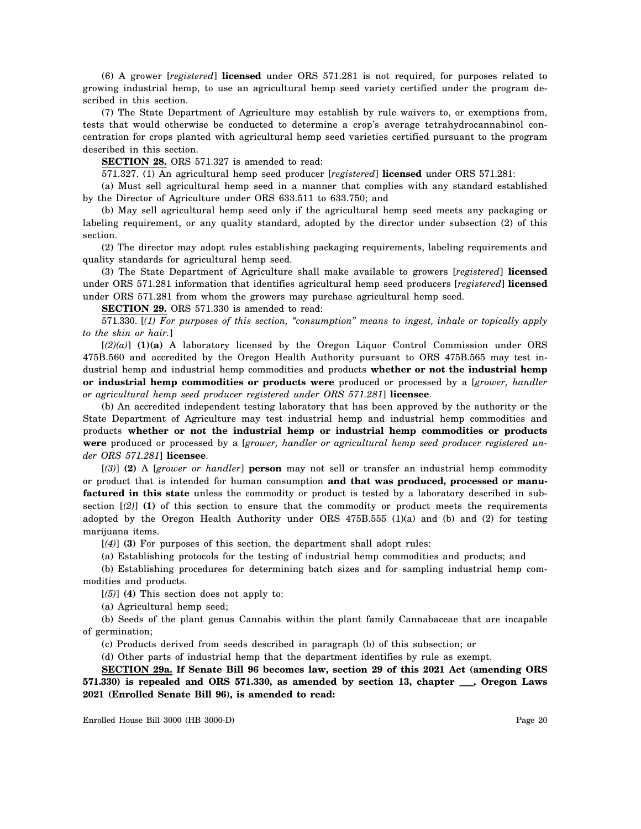(6) A grower [*registered*] **licensed** under ORS 571.281 is not required, for purposes related to growing industrial hemp, to use an agricultural hemp seed variety certified under the program described in this section.

(7) The State Department of Agriculture may establish by rule waivers to, or exemptions from, tests that would otherwise be conducted to determine a crop's average tetrahydrocannabinol concentration for crops planted with agricultural hemp seed varieties certified pursuant to the program described in this section.

**SECTION 28.** ORS 571.327 is amended to read:

571.327. (1) An agricultural hemp seed producer [*registered*] **licensed** under ORS 571.281:

(a) Must sell agricultural hemp seed in a manner that complies with any standard established by the Director of Agriculture under ORS 633.511 to 633.750; and

(b) May sell agricultural hemp seed only if the agricultural hemp seed meets any packaging or labeling requirement, or any quality standard, adopted by the director under subsection (2) of this section.

(2) The director may adopt rules establishing packaging requirements, labeling requirements and quality standards for agricultural hemp seed.

(3) The State Department of Agriculture shall make available to growers [*registered*] **licensed** under ORS 571.281 information that identifies agricultural hemp seed producers [*registered*] **licensed** under ORS 571.281 from whom the growers may purchase agricultural hemp seed.

**SECTION 29.** ORS 571.330 is amended to read:

571.330. [*(1) For purposes of this section, "consumption" means to ingest, inhale or topically apply to the skin or hair.*]

[*(2)(a)*] **(1)(a)** A laboratory licensed by the Oregon Liquor Control Commission under ORS 475B.560 and accredited by the Oregon Health Authority pursuant to ORS 475B.565 may test industrial hemp and industrial hemp commodities and products **whether or not the industrial hemp or industrial hemp commodities or products were** produced or processed by a [*grower, handler or agricultural hemp seed producer registered under ORS 571.281*] **licensee**.

(b) An accredited independent testing laboratory that has been approved by the authority or the State Department of Agriculture may test industrial hemp and industrial hemp commodities and products **whether or not the industrial hemp or industrial hemp commodities or products were** produced or processed by a [*grower, handler or agricultural hemp seed producer registered under ORS 571.281*] **licensee**.

[*(3)*] **(2)** A [*grower or handler*] **person** may not sell or transfer an industrial hemp commodity or product that is intended for human consumption **and that was produced, processed or manufactured in this state** unless the commodity or product is tested by a laboratory described in subsection  $[2]$  (1) of this section to ensure that the commodity or product meets the requirements adopted by the Oregon Health Authority under ORS  $475B.555$  (1)(a) and (b) and (2) for testing marijuana items.

[*(4)*] **(3)** For purposes of this section, the department shall adopt rules:

(a) Establishing protocols for the testing of industrial hemp commodities and products; and

(b) Establishing procedures for determining batch sizes and for sampling industrial hemp commodities and products.

[*(5)*] **(4)** This section does not apply to:

(a) Agricultural hemp seed;

(b) Seeds of the plant genus Cannabis within the plant family Cannabaceae that are incapable of germination;

(c) Products derived from seeds described in paragraph (b) of this subsection; or

(d) Other parts of industrial hemp that the department identifies by rule as exempt.

**SECTION 29a. If Senate Bill 96 becomes law, section 29 of this 2021 Act (amending ORS 571.330) is repealed and ORS 571.330, as amended by section 13, chapter \_\_\_, Oregon Laws 2021 (Enrolled Senate Bill 96), is amended to read:**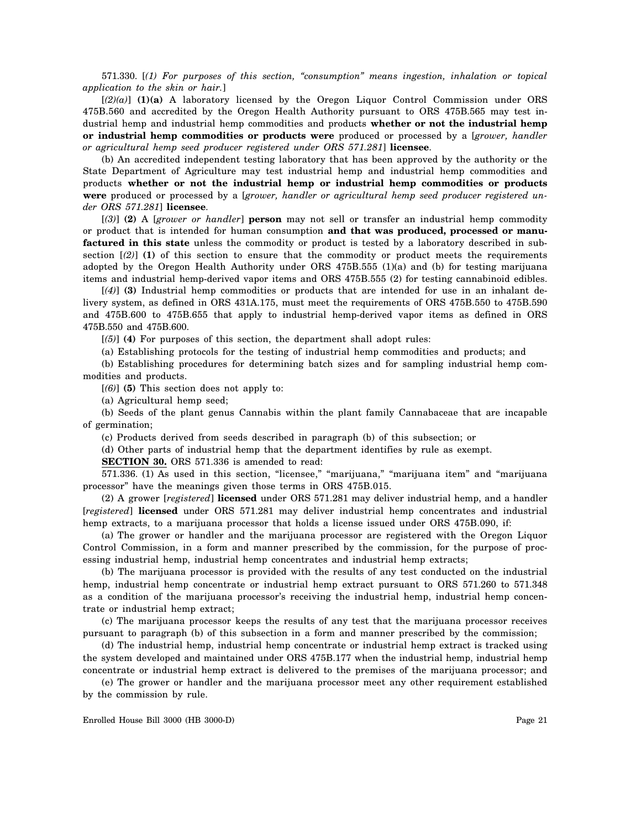571.330. [*(1) For purposes of this section, "consumption" means ingestion, inhalation or topical application to the skin or hair.*]

[*(2)(a)*] **(1)(a)** A laboratory licensed by the Oregon Liquor Control Commission under ORS 475B.560 and accredited by the Oregon Health Authority pursuant to ORS 475B.565 may test industrial hemp and industrial hemp commodities and products **whether or not the industrial hemp or industrial hemp commodities or products were** produced or processed by a [*grower, handler or agricultural hemp seed producer registered under ORS 571.281*] **licensee**.

(b) An accredited independent testing laboratory that has been approved by the authority or the State Department of Agriculture may test industrial hemp and industrial hemp commodities and products **whether or not the industrial hemp or industrial hemp commodities or products were** produced or processed by a [*grower, handler or agricultural hemp seed producer registered under ORS 571.281*] **licensee**.

[*(3)*] **(2)** A [*grower or handler*] **person** may not sell or transfer an industrial hemp commodity or product that is intended for human consumption **and that was produced, processed or manufactured in this state** unless the commodity or product is tested by a laboratory described in subsection  $(2)$  (1) of this section to ensure that the commodity or product meets the requirements adopted by the Oregon Health Authority under ORS 475B.555 (1)(a) and (b) for testing marijuana items and industrial hemp-derived vapor items and ORS 475B.555 (2) for testing cannabinoid edibles.

[*(4)*] **(3)** Industrial hemp commodities or products that are intended for use in an inhalant delivery system, as defined in ORS 431A.175, must meet the requirements of ORS 475B.550 to 475B.590 and 475B.600 to 475B.655 that apply to industrial hemp-derived vapor items as defined in ORS 475B.550 and 475B.600.

[*(5)*] **(4)** For purposes of this section, the department shall adopt rules:

(a) Establishing protocols for the testing of industrial hemp commodities and products; and

(b) Establishing procedures for determining batch sizes and for sampling industrial hemp commodities and products.

[*(6)*] **(5)** This section does not apply to:

(a) Agricultural hemp seed;

(b) Seeds of the plant genus Cannabis within the plant family Cannabaceae that are incapable of germination;

(c) Products derived from seeds described in paragraph (b) of this subsection; or

(d) Other parts of industrial hemp that the department identifies by rule as exempt.

**SECTION 30.** ORS 571.336 is amended to read:

571.336. (1) As used in this section, "licensee," "marijuana," "marijuana item" and "marijuana processor" have the meanings given those terms in ORS 475B.015.

(2) A grower [*registered*] **licensed** under ORS 571.281 may deliver industrial hemp, and a handler [*registered*] **licensed** under ORS 571.281 may deliver industrial hemp concentrates and industrial hemp extracts, to a marijuana processor that holds a license issued under ORS 475B.090, if:

(a) The grower or handler and the marijuana processor are registered with the Oregon Liquor Control Commission, in a form and manner prescribed by the commission, for the purpose of processing industrial hemp, industrial hemp concentrates and industrial hemp extracts;

(b) The marijuana processor is provided with the results of any test conducted on the industrial hemp, industrial hemp concentrate or industrial hemp extract pursuant to ORS 571.260 to 571.348 as a condition of the marijuana processor's receiving the industrial hemp, industrial hemp concentrate or industrial hemp extract;

(c) The marijuana processor keeps the results of any test that the marijuana processor receives pursuant to paragraph (b) of this subsection in a form and manner prescribed by the commission;

(d) The industrial hemp, industrial hemp concentrate or industrial hemp extract is tracked using the system developed and maintained under ORS 475B.177 when the industrial hemp, industrial hemp concentrate or industrial hemp extract is delivered to the premises of the marijuana processor; and

(e) The grower or handler and the marijuana processor meet any other requirement established by the commission by rule.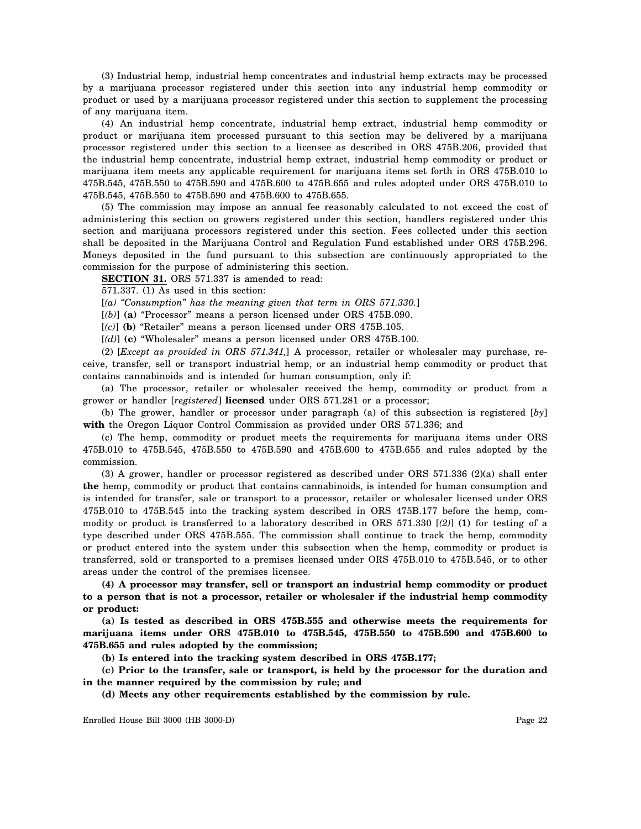(3) Industrial hemp, industrial hemp concentrates and industrial hemp extracts may be processed by a marijuana processor registered under this section into any industrial hemp commodity or product or used by a marijuana processor registered under this section to supplement the processing of any marijuana item.

(4) An industrial hemp concentrate, industrial hemp extract, industrial hemp commodity or product or marijuana item processed pursuant to this section may be delivered by a marijuana processor registered under this section to a licensee as described in ORS 475B.206, provided that the industrial hemp concentrate, industrial hemp extract, industrial hemp commodity or product or marijuana item meets any applicable requirement for marijuana items set forth in ORS 475B.010 to 475B.545, 475B.550 to 475B.590 and 475B.600 to 475B.655 and rules adopted under ORS 475B.010 to 475B.545, 475B.550 to 475B.590 and 475B.600 to 475B.655.

(5) The commission may impose an annual fee reasonably calculated to not exceed the cost of administering this section on growers registered under this section, handlers registered under this section and marijuana processors registered under this section. Fees collected under this section shall be deposited in the Marijuana Control and Regulation Fund established under ORS 475B.296. Moneys deposited in the fund pursuant to this subsection are continuously appropriated to the commission for the purpose of administering this section.

**SECTION 31.** ORS 571.337 is amended to read:

571.337. (1) As used in this section:

[*(a) "Consumption" has the meaning given that term in ORS 571.330.*]

[*(b)*] **(a)** "Processor" means a person licensed under ORS 475B.090.

[*(c)*] **(b)** "Retailer" means a person licensed under ORS 475B.105.

[*(d)*] **(c)** "Wholesaler" means a person licensed under ORS 475B.100.

(2) [*Except as provided in ORS 571.341,*] A processor, retailer or wholesaler may purchase, receive, transfer, sell or transport industrial hemp, or an industrial hemp commodity or product that contains cannabinoids and is intended for human consumption, only if:

(a) The processor, retailer or wholesaler received the hemp, commodity or product from a grower or handler [*registered*] **licensed** under ORS 571.281 or a processor;

(b) The grower, handler or processor under paragraph (a) of this subsection is registered [*by*] **with** the Oregon Liquor Control Commission as provided under ORS 571.336; and

(c) The hemp, commodity or product meets the requirements for marijuana items under ORS 475B.010 to 475B.545, 475B.550 to 475B.590 and 475B.600 to 475B.655 and rules adopted by the commission.

(3) A grower, handler or processor registered as described under ORS 571.336 (2)(a) shall enter **the** hemp, commodity or product that contains cannabinoids, is intended for human consumption and is intended for transfer, sale or transport to a processor, retailer or wholesaler licensed under ORS 475B.010 to 475B.545 into the tracking system described in ORS 475B.177 before the hemp, commodity or product is transferred to a laboratory described in ORS 571.330 [*(2)*] **(1)** for testing of a type described under ORS 475B.555. The commission shall continue to track the hemp, commodity or product entered into the system under this subsection when the hemp, commodity or product is transferred, sold or transported to a premises licensed under ORS 475B.010 to 475B.545, or to other areas under the control of the premises licensee.

**(4) A processor may transfer, sell or transport an industrial hemp commodity or product to a person that is not a processor, retailer or wholesaler if the industrial hemp commodity or product:**

**(a) Is tested as described in ORS 475B.555 and otherwise meets the requirements for marijuana items under ORS 475B.010 to 475B.545, 475B.550 to 475B.590 and 475B.600 to 475B.655 and rules adopted by the commission;**

**(b) Is entered into the tracking system described in ORS 475B.177;**

**(c) Prior to the transfer, sale or transport, is held by the processor for the duration and in the manner required by the commission by rule; and**

**(d) Meets any other requirements established by the commission by rule.**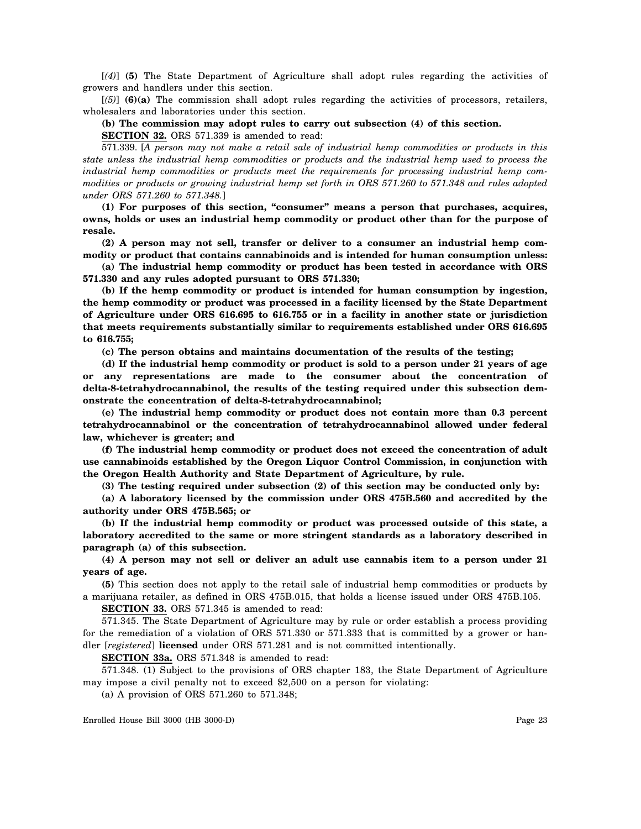[*(4)*] **(5)** The State Department of Agriculture shall adopt rules regarding the activities of growers and handlers under this section.

[*(5)*] **(6)(a)** The commission shall adopt rules regarding the activities of processors, retailers, wholesalers and laboratories under this section.

**(b) The commission may adopt rules to carry out subsection (4) of this section.**

**SECTION 32.** ORS 571.339 is amended to read:

571.339. [*A person may not make a retail sale of industrial hemp commodities or products in this state unless the industrial hemp commodities or products and the industrial hemp used to process the industrial hemp commodities or products meet the requirements for processing industrial hemp commodities or products or growing industrial hemp set forth in ORS 571.260 to 571.348 and rules adopted under ORS 571.260 to 571.348.*]

**(1) For purposes of this section, "consumer" means a person that purchases, acquires, owns, holds or uses an industrial hemp commodity or product other than for the purpose of resale.**

**(2) A person may not sell, transfer or deliver to a consumer an industrial hemp commodity or product that contains cannabinoids and is intended for human consumption unless:**

**(a) The industrial hemp commodity or product has been tested in accordance with ORS 571.330 and any rules adopted pursuant to ORS 571.330;**

**(b) If the hemp commodity or product is intended for human consumption by ingestion, the hemp commodity or product was processed in a facility licensed by the State Department of Agriculture under ORS 616.695 to 616.755 or in a facility in another state or jurisdiction that meets requirements substantially similar to requirements established under ORS 616.695 to 616.755;**

**(c) The person obtains and maintains documentation of the results of the testing;**

**(d) If the industrial hemp commodity or product is sold to a person under 21 years of age or any representations are made to the consumer about the concentration of delta-8-tetrahydrocannabinol, the results of the testing required under this subsection demonstrate the concentration of delta-8-tetrahydrocannabinol;**

**(e) The industrial hemp commodity or product does not contain more than 0.3 percent tetrahydrocannabinol or the concentration of tetrahydrocannabinol allowed under federal law, whichever is greater; and**

**(f) The industrial hemp commodity or product does not exceed the concentration of adult use cannabinoids established by the Oregon Liquor Control Commission, in conjunction with the Oregon Health Authority and State Department of Agriculture, by rule.**

**(3) The testing required under subsection (2) of this section may be conducted only by:**

**(a) A laboratory licensed by the commission under ORS 475B.560 and accredited by the authority under ORS 475B.565; or**

**(b) If the industrial hemp commodity or product was processed outside of this state, a laboratory accredited to the same or more stringent standards as a laboratory described in paragraph (a) of this subsection.**

**(4) A person may not sell or deliver an adult use cannabis item to a person under 21 years of age.**

**(5)** This section does not apply to the retail sale of industrial hemp commodities or products by a marijuana retailer, as defined in ORS 475B.015, that holds a license issued under ORS 475B.105.

**SECTION 33.** ORS 571.345 is amended to read:

571.345. The State Department of Agriculture may by rule or order establish a process providing for the remediation of a violation of ORS 571.330 or 571.333 that is committed by a grower or handler [*registered*] **licensed** under ORS 571.281 and is not committed intentionally.

**SECTION 33a.** ORS 571.348 is amended to read:

571.348. (1) Subject to the provisions of ORS chapter 183, the State Department of Agriculture may impose a civil penalty not to exceed \$2,500 on a person for violating:

(a) A provision of ORS 571.260 to 571.348;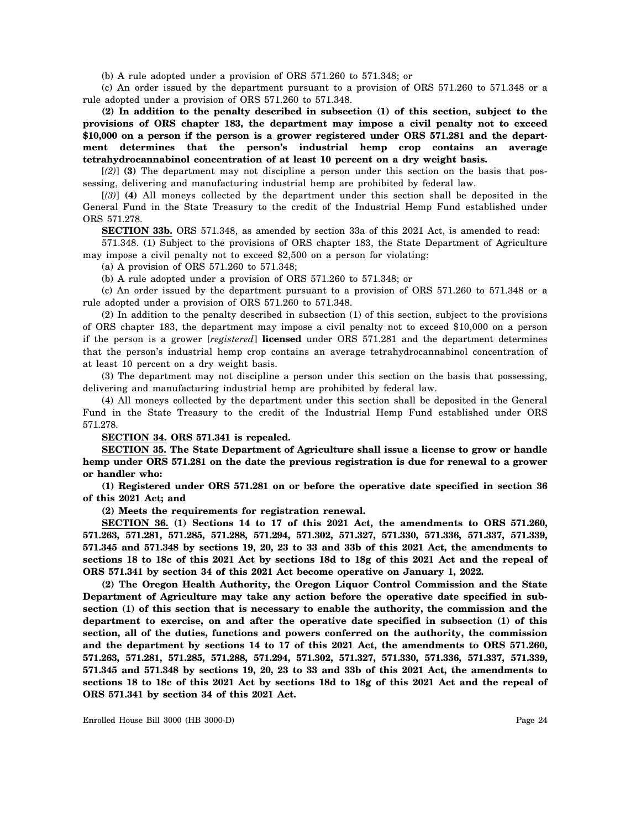(b) A rule adopted under a provision of ORS 571.260 to 571.348; or

(c) An order issued by the department pursuant to a provision of ORS 571.260 to 571.348 or a rule adopted under a provision of ORS 571.260 to 571.348.

**(2) In addition to the penalty described in subsection (1) of this section, subject to the provisions of ORS chapter 183, the department may impose a civil penalty not to exceed \$10,000 on a person if the person is a grower registered under ORS 571.281 and the department determines that the person's industrial hemp crop contains an average tetrahydrocannabinol concentration of at least 10 percent on a dry weight basis.**

[*(2)*] **(3)** The department may not discipline a person under this section on the basis that possessing, delivering and manufacturing industrial hemp are prohibited by federal law.

[*(3)*] **(4)** All moneys collected by the department under this section shall be deposited in the General Fund in the State Treasury to the credit of the Industrial Hemp Fund established under ORS 571.278.

**SECTION 33b.** ORS 571.348, as amended by section 33a of this 2021 Act, is amended to read:

571.348. (1) Subject to the provisions of ORS chapter 183, the State Department of Agriculture may impose a civil penalty not to exceed \$2,500 on a person for violating:

(a) A provision of ORS 571.260 to 571.348;

(b) A rule adopted under a provision of ORS 571.260 to 571.348; or

(c) An order issued by the department pursuant to a provision of ORS 571.260 to 571.348 or a rule adopted under a provision of ORS 571.260 to 571.348.

(2) In addition to the penalty described in subsection (1) of this section, subject to the provisions of ORS chapter 183, the department may impose a civil penalty not to exceed \$10,000 on a person if the person is a grower [*registered*] **licensed** under ORS 571.281 and the department determines that the person's industrial hemp crop contains an average tetrahydrocannabinol concentration of at least 10 percent on a dry weight basis.

(3) The department may not discipline a person under this section on the basis that possessing, delivering and manufacturing industrial hemp are prohibited by federal law.

(4) All moneys collected by the department under this section shall be deposited in the General Fund in the State Treasury to the credit of the Industrial Hemp Fund established under ORS 571.278.

## **SECTION 34. ORS 571.341 is repealed.**

**SECTION 35. The State Department of Agriculture shall issue a license to grow or handle hemp under ORS 571.281 on the date the previous registration is due for renewal to a grower or handler who:**

**(1) Registered under ORS 571.281 on or before the operative date specified in section 36 of this 2021 Act; and**

**(2) Meets the requirements for registration renewal.**

**SECTION 36. (1) Sections 14 to 17 of this 2021 Act, the amendments to ORS 571.260, 571.263, 571.281, 571.285, 571.288, 571.294, 571.302, 571.327, 571.330, 571.336, 571.337, 571.339, 571.345 and 571.348 by sections 19, 20, 23 to 33 and 33b of this 2021 Act, the amendments to sections 18 to 18c of this 2021 Act by sections 18d to 18g of this 2021 Act and the repeal of ORS 571.341 by section 34 of this 2021 Act become operative on January 1, 2022.**

**(2) The Oregon Health Authority, the Oregon Liquor Control Commission and the State Department of Agriculture may take any action before the operative date specified in subsection (1) of this section that is necessary to enable the authority, the commission and the department to exercise, on and after the operative date specified in subsection (1) of this section, all of the duties, functions and powers conferred on the authority, the commission and the department by sections 14 to 17 of this 2021 Act, the amendments to ORS 571.260, 571.263, 571.281, 571.285, 571.288, 571.294, 571.302, 571.327, 571.330, 571.336, 571.337, 571.339, 571.345 and 571.348 by sections 19, 20, 23 to 33 and 33b of this 2021 Act, the amendments to sections 18 to 18c of this 2021 Act by sections 18d to 18g of this 2021 Act and the repeal of ORS 571.341 by section 34 of this 2021 Act.**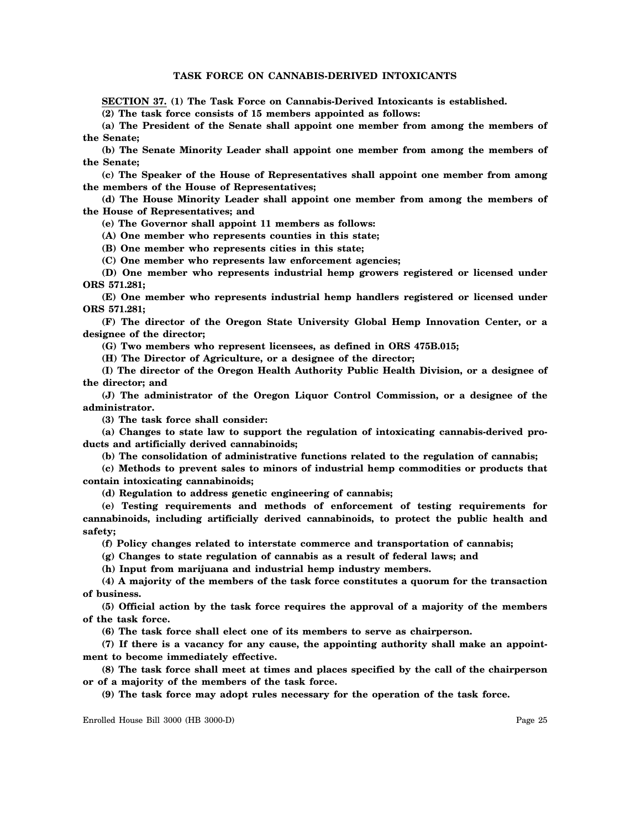# **TASK FORCE ON CANNABIS-DERIVED INTOXICANTS**

**SECTION 37. (1) The Task Force on Cannabis-Derived Intoxicants is established.**

**(2) The task force consists of 15 members appointed as follows:**

**(a) The President of the Senate shall appoint one member from among the members of the Senate;**

**(b) The Senate Minority Leader shall appoint one member from among the members of the Senate;**

**(c) The Speaker of the House of Representatives shall appoint one member from among the members of the House of Representatives;**

**(d) The House Minority Leader shall appoint one member from among the members of the House of Representatives; and**

**(e) The Governor shall appoint 11 members as follows:**

**(A) One member who represents counties in this state;**

**(B) One member who represents cities in this state;**

**(C) One member who represents law enforcement agencies;**

**(D) One member who represents industrial hemp growers registered or licensed under ORS 571.281;**

**(E) One member who represents industrial hemp handlers registered or licensed under ORS 571.281;**

**(F) The director of the Oregon State University Global Hemp Innovation Center, or a designee of the director;**

**(G) Two members who represent licensees, as defined in ORS 475B.015;**

**(H) The Director of Agriculture, or a designee of the director;**

**(I) The director of the Oregon Health Authority Public Health Division, or a designee of the director; and**

**(J) The administrator of the Oregon Liquor Control Commission, or a designee of the administrator.**

**(3) The task force shall consider:**

**(a) Changes to state law to support the regulation of intoxicating cannabis-derived products and artificially derived cannabinoids;**

**(b) The consolidation of administrative functions related to the regulation of cannabis;**

**(c) Methods to prevent sales to minors of industrial hemp commodities or products that contain intoxicating cannabinoids;**

**(d) Regulation to address genetic engineering of cannabis;**

**(e) Testing requirements and methods of enforcement of testing requirements for cannabinoids, including artificially derived cannabinoids, to protect the public health and safety;**

**(f) Policy changes related to interstate commerce and transportation of cannabis;**

**(g) Changes to state regulation of cannabis as a result of federal laws; and**

**(h) Input from marijuana and industrial hemp industry members.**

**(4) A majority of the members of the task force constitutes a quorum for the transaction of business.**

**(5) Official action by the task force requires the approval of a majority of the members of the task force.**

**(6) The task force shall elect one of its members to serve as chairperson.**

**(7) If there is a vacancy for any cause, the appointing authority shall make an appointment to become immediately effective.**

**(8) The task force shall meet at times and places specified by the call of the chairperson or of a majority of the members of the task force.**

**(9) The task force may adopt rules necessary for the operation of the task force.**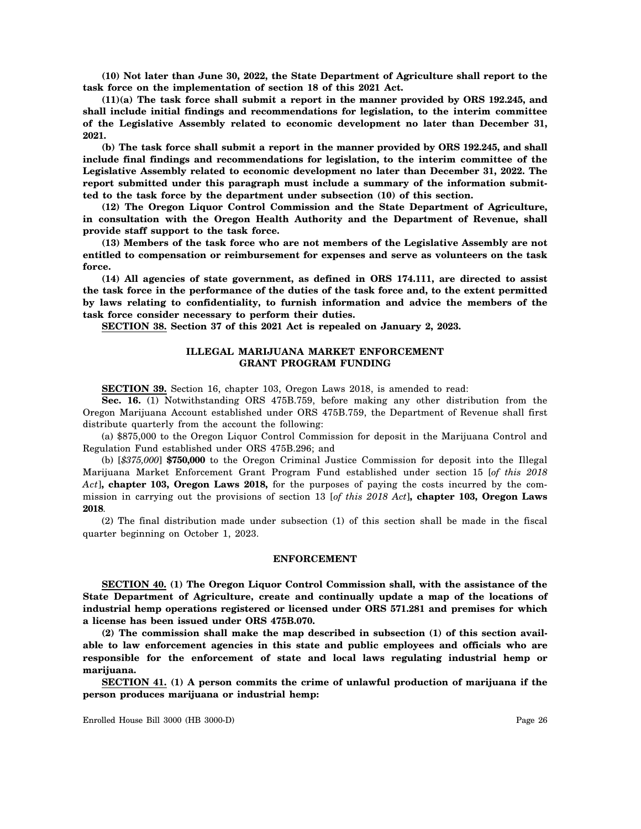**(10) Not later than June 30, 2022, the State Department of Agriculture shall report to the task force on the implementation of section 18 of this 2021 Act.**

**(11)(a) The task force shall submit a report in the manner provided by ORS 192.245, and shall include initial findings and recommendations for legislation, to the interim committee of the Legislative Assembly related to economic development no later than December 31, 2021.**

**(b) The task force shall submit a report in the manner provided by ORS 192.245, and shall include final findings and recommendations for legislation, to the interim committee of the Legislative Assembly related to economic development no later than December 31, 2022. The report submitted under this paragraph must include a summary of the information submitted to the task force by the department under subsection (10) of this section.**

**(12) The Oregon Liquor Control Commission and the State Department of Agriculture, in consultation with the Oregon Health Authority and the Department of Revenue, shall provide staff support to the task force.**

**(13) Members of the task force who are not members of the Legislative Assembly are not entitled to compensation or reimbursement for expenses and serve as volunteers on the task force.**

**(14) All agencies of state government, as defined in ORS 174.111, are directed to assist the task force in the performance of the duties of the task force and, to the extent permitted by laws relating to confidentiality, to furnish information and advice the members of the task force consider necessary to perform their duties.**

**SECTION 38. Section 37 of this 2021 Act is repealed on January 2, 2023.**

# **ILLEGAL MARIJUANA MARKET ENFORCEMENT GRANT PROGRAM FUNDING**

**SECTION 39.** Section 16, chapter 103, Oregon Laws 2018, is amended to read:

**Sec. 16.** (1) Notwithstanding ORS 475B.759, before making any other distribution from the Oregon Marijuana Account established under ORS 475B.759, the Department of Revenue shall first distribute quarterly from the account the following:

(a) \$875,000 to the Oregon Liquor Control Commission for deposit in the Marijuana Control and Regulation Fund established under ORS 475B.296; and

(b) [*\$375,000*] **\$750,000** to the Oregon Criminal Justice Commission for deposit into the Illegal Marijuana Market Enforcement Grant Program Fund established under section 15 [*of this 2018 Act*]**, chapter 103, Oregon Laws 2018,** for the purposes of paying the costs incurred by the commission in carrying out the provisions of section 13 [*of this 2018 Act*]**, chapter 103, Oregon Laws 2018**.

(2) The final distribution made under subsection (1) of this section shall be made in the fiscal quarter beginning on October 1, 2023.

## **ENFORCEMENT**

**SECTION 40. (1) The Oregon Liquor Control Commission shall, with the assistance of the State Department of Agriculture, create and continually update a map of the locations of industrial hemp operations registered or licensed under ORS 571.281 and premises for which a license has been issued under ORS 475B.070.**

**(2) The commission shall make the map described in subsection (1) of this section available to law enforcement agencies in this state and public employees and officials who are responsible for the enforcement of state and local laws regulating industrial hemp or marijuana.**

**SECTION 41. (1) A person commits the crime of unlawful production of marijuana if the person produces marijuana or industrial hemp:**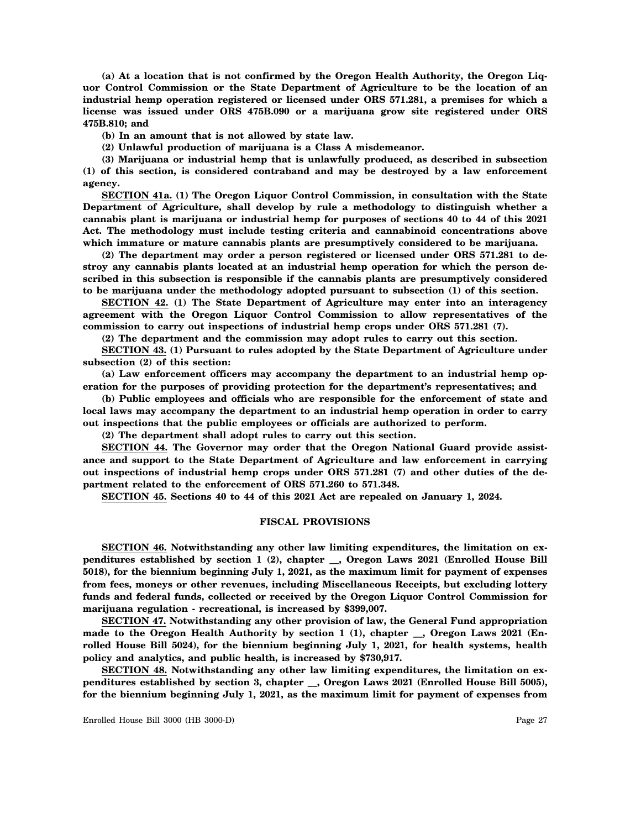**(a) At a location that is not confirmed by the Oregon Health Authority, the Oregon Liquor Control Commission or the State Department of Agriculture to be the location of an industrial hemp operation registered or licensed under ORS 571.281, a premises for which a license was issued under ORS 475B.090 or a marijuana grow site registered under ORS 475B.810; and**

**(b) In an amount that is not allowed by state law.**

**(2) Unlawful production of marijuana is a Class A misdemeanor.**

**(3) Marijuana or industrial hemp that is unlawfully produced, as described in subsection (1) of this section, is considered contraband and may be destroyed by a law enforcement agency.**

**SECTION 41a. (1) The Oregon Liquor Control Commission, in consultation with the State Department of Agriculture, shall develop by rule a methodology to distinguish whether a cannabis plant is marijuana or industrial hemp for purposes of sections 40 to 44 of this 2021 Act. The methodology must include testing criteria and cannabinoid concentrations above which immature or mature cannabis plants are presumptively considered to be marijuana.**

**(2) The department may order a person registered or licensed under ORS 571.281 to destroy any cannabis plants located at an industrial hemp operation for which the person described in this subsection is responsible if the cannabis plants are presumptively considered to be marijuana under the methodology adopted pursuant to subsection (1) of this section.**

**SECTION 42. (1) The State Department of Agriculture may enter into an interagency agreement with the Oregon Liquor Control Commission to allow representatives of the commission to carry out inspections of industrial hemp crops under ORS 571.281 (7).**

**(2) The department and the commission may adopt rules to carry out this section.**

**SECTION 43. (1) Pursuant to rules adopted by the State Department of Agriculture under subsection (2) of this section:**

**(a) Law enforcement officers may accompany the department to an industrial hemp operation for the purposes of providing protection for the department's representatives; and**

**(b) Public employees and officials who are responsible for the enforcement of state and local laws may accompany the department to an industrial hemp operation in order to carry out inspections that the public employees or officials are authorized to perform.**

**(2) The department shall adopt rules to carry out this section.**

**SECTION 44. The Governor may order that the Oregon National Guard provide assistance and support to the State Department of Agriculture and law enforcement in carrying out inspections of industrial hemp crops under ORS 571.281 (7) and other duties of the department related to the enforcement of ORS 571.260 to 571.348.**

**SECTION 45. Sections 40 to 44 of this 2021 Act are repealed on January 1, 2024.**

#### **FISCAL PROVISIONS**

**SECTION 46. Notwithstanding any other law limiting expenditures, the limitation on expenditures established by section 1 (2), chapter \_\_, Oregon Laws 2021 (Enrolled House Bill 5018), for the biennium beginning July 1, 2021, as the maximum limit for payment of expenses from fees, moneys or other revenues, including Miscellaneous Receipts, but excluding lottery funds and federal funds, collected or received by the Oregon Liquor Control Commission for marijuana regulation - recreational, is increased by \$399,007.**

**SECTION 47. Notwithstanding any other provision of law, the General Fund appropriation made to the Oregon Health Authority by section 1 (1), chapter \_\_, Oregon Laws 2021 (Enrolled House Bill 5024), for the biennium beginning July 1, 2021, for health systems, health policy and analytics, and public health, is increased by \$730,917.**

**SECTION 48. Notwithstanding any other law limiting expenditures, the limitation on expenditures established by section 3, chapter \_\_, Oregon Laws 2021 (Enrolled House Bill 5005), for the biennium beginning July 1, 2021, as the maximum limit for payment of expenses from**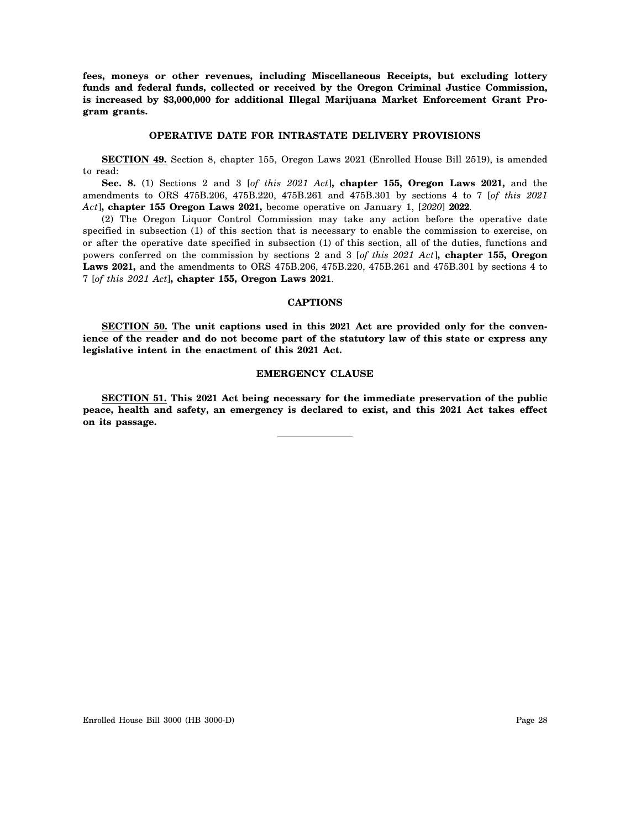**fees, moneys or other revenues, including Miscellaneous Receipts, but excluding lottery funds and federal funds, collected or received by the Oregon Criminal Justice Commission, is increased by \$3,000,000 for additional Illegal Marijuana Market Enforcement Grant Program grants.**

# **OPERATIVE DATE FOR INTRASTATE DELIVERY PROVISIONS**

**SECTION 49.** Section 8, chapter 155, Oregon Laws 2021 (Enrolled House Bill 2519), is amended to read:

**Sec. 8.** (1) Sections 2 and 3 [*of this 2021 Act*]**, chapter 155, Oregon Laws 2021,** and the amendments to ORS 475B.206, 475B.220, 475B.261 and 475B.301 by sections 4 to 7 [*of this 2021 Act*]**, chapter 155 Oregon Laws 2021,** become operative on January 1, [*2020*] **2022**.

(2) The Oregon Liquor Control Commission may take any action before the operative date specified in subsection (1) of this section that is necessary to enable the commission to exercise, on or after the operative date specified in subsection (1) of this section, all of the duties, functions and powers conferred on the commission by sections 2 and 3 [*of this 2021 Act*]**, chapter 155, Oregon Laws 2021,** and the amendments to ORS 475B.206, 475B.220, 475B.261 and 475B.301 by sections 4 to 7 [*of this 2021 Act*]**, chapter 155, Oregon Laws 2021**.

#### **CAPTIONS**

**SECTION 50. The unit captions used in this 2021 Act are provided only for the convenience of the reader and do not become part of the statutory law of this state or express any legislative intent in the enactment of this 2021 Act.**

## **EMERGENCY CLAUSE**

**SECTION 51. This 2021 Act being necessary for the immediate preservation of the public peace, health and safety, an emergency is declared to exist, and this 2021 Act takes effect on its passage.**